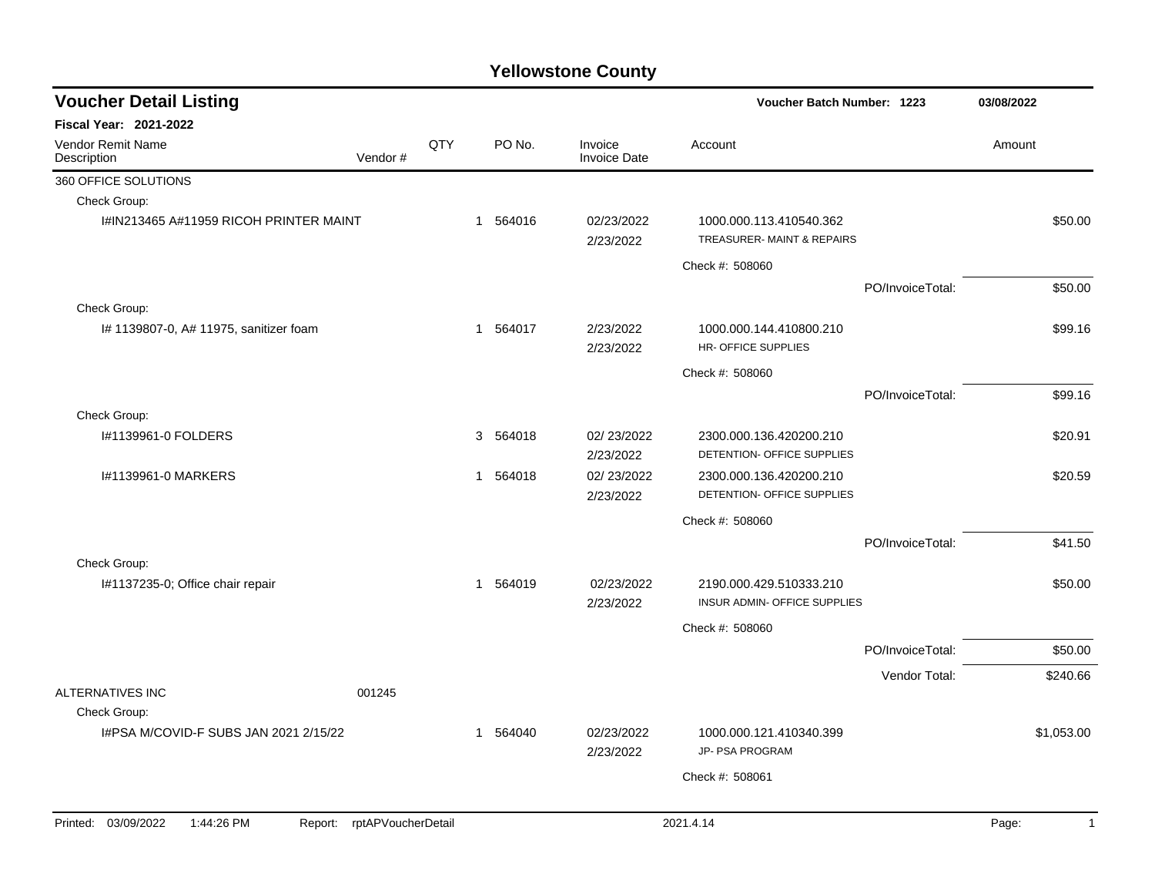| <b>Voucher Detail Listing</b>                |                    |     |              |          |                                | Voucher Batch Number: 1223                              |                  | 03/08/2022 |              |
|----------------------------------------------|--------------------|-----|--------------|----------|--------------------------------|---------------------------------------------------------|------------------|------------|--------------|
| <b>Fiscal Year: 2021-2022</b>                |                    |     |              |          |                                |                                                         |                  |            |              |
| <b>Vendor Remit Name</b><br>Description      | Vendor#            | QTY |              | PO No.   | Invoice<br><b>Invoice Date</b> | Account                                                 |                  | Amount     |              |
| 360 OFFICE SOLUTIONS                         |                    |     |              |          |                                |                                                         |                  |            |              |
| Check Group:                                 |                    |     |              |          |                                |                                                         |                  |            |              |
| I#IN213465 A#11959 RICOH PRINTER MAINT       |                    |     | $\mathbf{1}$ | 564016   | 02/23/2022<br>2/23/2022        | 1000.000.113.410540.362<br>TREASURER-MAINT & REPAIRS    |                  |            | \$50.00      |
|                                              |                    |     |              |          |                                | Check #: 508060                                         |                  |            |              |
|                                              |                    |     |              |          |                                |                                                         | PO/InvoiceTotal: |            | \$50.00      |
| Check Group:                                 |                    |     |              |          |                                |                                                         |                  |            |              |
| # 1139807-0, A# 11975, sanitizer foam        |                    |     | $\mathbf{1}$ | 564017   | 2/23/2022<br>2/23/2022         | 1000.000.144.410800.210<br><b>HR- OFFICE SUPPLIES</b>   |                  |            | \$99.16      |
|                                              |                    |     |              |          |                                | Check #: 508060                                         |                  |            |              |
|                                              |                    |     |              |          |                                |                                                         | PO/InvoiceTotal: |            | \$99.16      |
| Check Group:                                 |                    |     |              |          |                                |                                                         |                  |            |              |
| I#1139961-0 FOLDERS                          |                    |     |              | 3 564018 | 02/23/2022<br>2/23/2022        | 2300.000.136.420200.210<br>DETENTION- OFFICE SUPPLIES   |                  |            | \$20.91      |
| I#1139961-0 MARKERS                          |                    |     | $\mathbf{1}$ | 564018   | 02/23/2022<br>2/23/2022        | 2300.000.136.420200.210<br>DETENTION- OFFICE SUPPLIES   |                  |            | \$20.59      |
|                                              |                    |     |              |          |                                | Check #: 508060                                         |                  |            |              |
|                                              |                    |     |              |          |                                |                                                         | PO/InvoiceTotal: |            | \$41.50      |
| Check Group:                                 |                    |     |              |          |                                |                                                         |                  |            |              |
| I#1137235-0; Office chair repair             |                    |     | $\mathbf{1}$ | 564019   | 02/23/2022<br>2/23/2022        | 2190.000.429.510333.210<br>INSUR ADMIN- OFFICE SUPPLIES |                  |            | \$50.00      |
|                                              |                    |     |              |          |                                | Check #: 508060                                         |                  |            |              |
|                                              |                    |     |              |          |                                |                                                         | PO/InvoiceTotal: |            | \$50.00      |
|                                              |                    |     |              |          |                                |                                                         | Vendor Total:    |            | \$240.66     |
| <b>ALTERNATIVES INC</b>                      | 001245             |     |              |          |                                |                                                         |                  |            |              |
| Check Group:                                 |                    |     |              |          |                                |                                                         |                  |            |              |
| I#PSA M/COVID-F SUBS JAN 2021 2/15/22        |                    |     | $\mathbf 1$  | 564040   | 02/23/2022<br>2/23/2022        | 1000.000.121.410340.399<br>JP- PSA PROGRAM              |                  |            | \$1,053.00   |
|                                              |                    |     |              |          |                                | Check #: 508061                                         |                  |            |              |
|                                              |                    |     |              |          |                                |                                                         |                  |            |              |
| Printed: 03/09/2022<br>1:44:26 PM<br>Report: | rptAPVoucherDetail |     |              |          |                                | 2021.4.14                                               |                  | Page:      | $\mathbf{1}$ |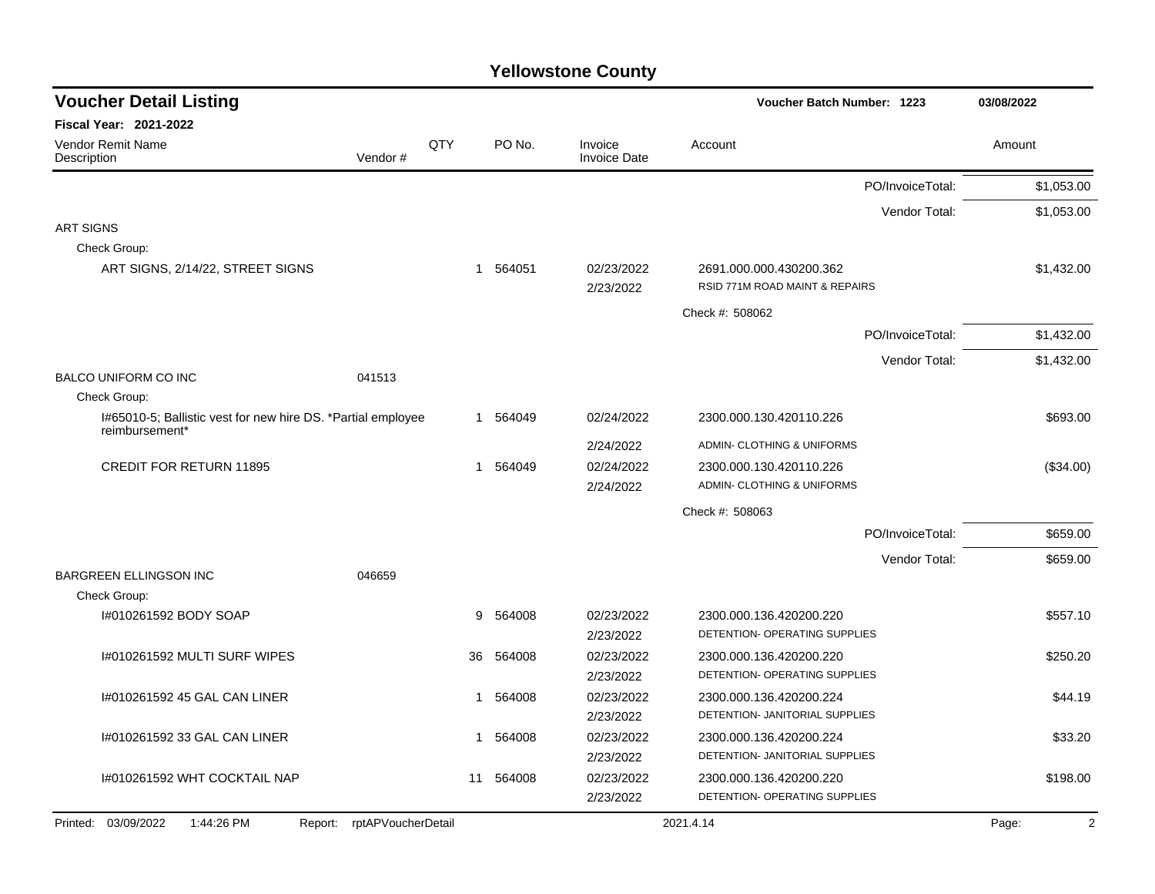| <b>Voucher Detail Listing</b>                                                  | Voucher Batch Number: 1223 |     | 03/08/2022 |                                |                                                           |                         |
|--------------------------------------------------------------------------------|----------------------------|-----|------------|--------------------------------|-----------------------------------------------------------|-------------------------|
| <b>Fiscal Year: 2021-2022</b>                                                  |                            |     |            |                                |                                                           |                         |
| Vendor Remit Name<br>Description                                               | Vendor#                    | QTY | PO No.     | Invoice<br><b>Invoice Date</b> | Account                                                   | Amount                  |
|                                                                                |                            |     |            |                                | PO/InvoiceTotal:                                          | \$1,053.00              |
|                                                                                |                            |     |            |                                | Vendor Total:                                             | \$1,053.00              |
| <b>ART SIGNS</b>                                                               |                            |     |            |                                |                                                           |                         |
| Check Group:                                                                   |                            |     |            |                                |                                                           |                         |
| ART SIGNS, 2/14/22, STREET SIGNS                                               |                            | 1   | 564051     | 02/23/2022<br>2/23/2022        | 2691.000.000.430200.362<br>RSID 771M ROAD MAINT & REPAIRS | \$1,432.00              |
|                                                                                |                            |     |            |                                |                                                           |                         |
|                                                                                |                            |     |            |                                | Check #: 508062                                           |                         |
|                                                                                |                            |     |            |                                | PO/InvoiceTotal:                                          | \$1,432.00              |
|                                                                                |                            |     |            |                                | Vendor Total:                                             | \$1,432.00              |
| <b>BALCO UNIFORM CO INC</b>                                                    | 041513                     |     |            |                                |                                                           |                         |
| Check Group:                                                                   |                            |     |            |                                |                                                           |                         |
| I#65010-5; Ballistic vest for new hire DS. *Partial employee<br>reimbursement* |                            |     | 1 564049   | 02/24/2022                     | 2300.000.130.420110.226                                   | \$693.00                |
|                                                                                |                            |     |            | 2/24/2022                      | ADMIN- CLOTHING & UNIFORMS                                |                         |
| <b>CREDIT FOR RETURN 11895</b>                                                 |                            |     | 564049     | 02/24/2022                     | 2300.000.130.420110.226                                   | (\$34.00)               |
|                                                                                |                            |     |            | 2/24/2022                      | <b>ADMIN- CLOTHING &amp; UNIFORMS</b>                     |                         |
|                                                                                |                            |     |            |                                | Check #: 508063                                           |                         |
|                                                                                |                            |     |            |                                | PO/InvoiceTotal:                                          | \$659.00                |
|                                                                                |                            |     |            |                                | Vendor Total:                                             | \$659.00                |
| <b>BARGREEN ELLINGSON INC</b>                                                  | 046659                     |     |            |                                |                                                           |                         |
| Check Group:                                                                   |                            |     |            |                                |                                                           |                         |
| I#010261592 BODY SOAP                                                          |                            | 9   | 564008     | 02/23/2022                     | 2300.000.136.420200.220                                   | \$557.10                |
|                                                                                |                            |     |            | 2/23/2022                      | DETENTION- OPERATING SUPPLIES                             |                         |
| I#010261592 MULTI SURF WIPES                                                   |                            | 36  | 564008     | 02/23/2022                     | 2300.000.136.420200.220                                   | \$250.20                |
|                                                                                |                            |     |            | 2/23/2022                      | DETENTION- OPERATING SUPPLIES                             |                         |
| I#010261592 45 GAL CAN LINER                                                   |                            | 1   | 564008     | 02/23/2022                     | 2300.000.136.420200.224                                   | \$44.19                 |
|                                                                                |                            |     |            | 2/23/2022                      | DETENTION- JANITORIAL SUPPLIES                            |                         |
| I#010261592 33 GAL CAN LINER                                                   |                            | 1   | 564008     | 02/23/2022                     | 2300.000.136.420200.224                                   | \$33.20                 |
|                                                                                |                            |     |            | 2/23/2022                      | DETENTION- JANITORIAL SUPPLIES                            |                         |
| I#010261592 WHT COCKTAIL NAP                                                   |                            | 11  | 564008     | 02/23/2022                     | 2300.000.136.420200.220                                   | \$198.00                |
|                                                                                |                            |     |            | 2/23/2022                      | <b>DETENTION- OPERATING SUPPLIES</b>                      |                         |
| Printed: 03/09/2022<br>1:44:26 PM<br>Report:                                   | rptAPVoucherDetail         |     |            |                                | 2021.4.14                                                 | $\overline{2}$<br>Page: |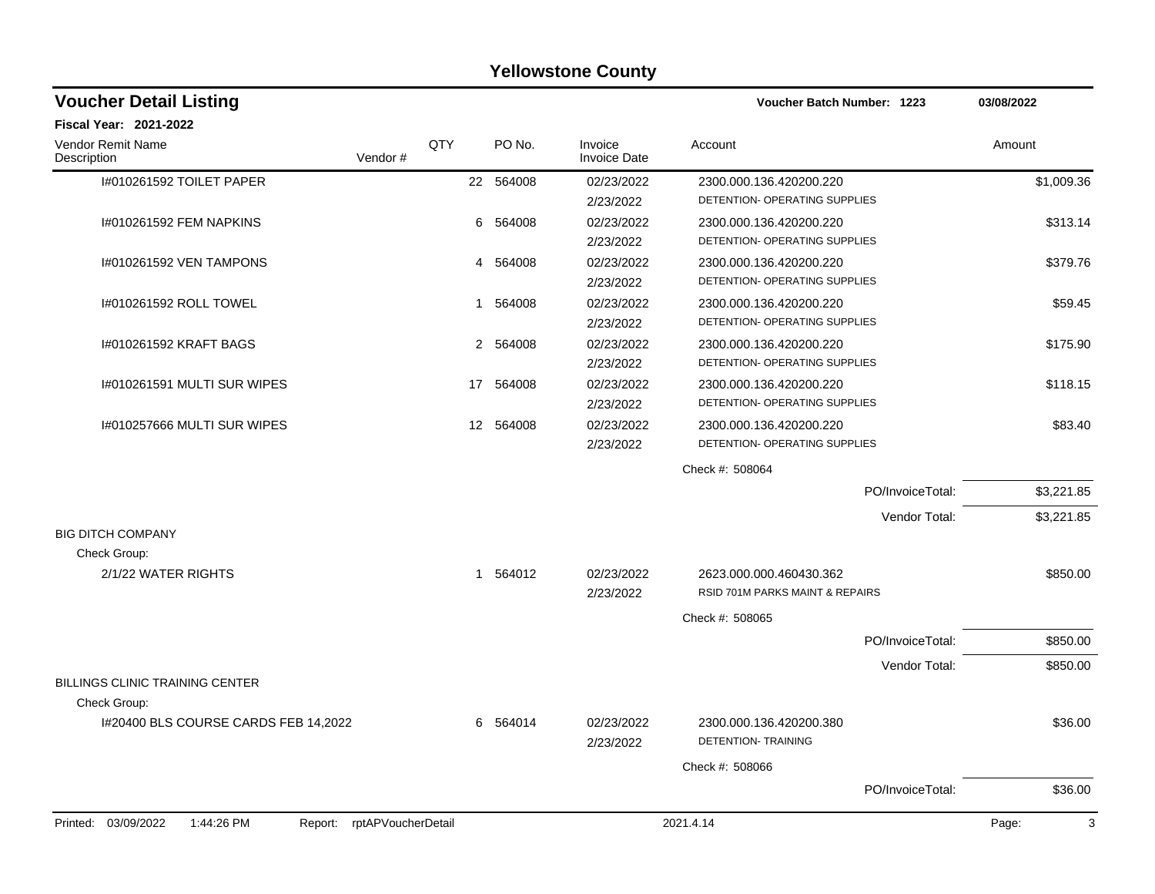| <b>Fiscal Year: 2021-2022</b>                                                                                                           |                  |            |
|-----------------------------------------------------------------------------------------------------------------------------------------|------------------|------------|
|                                                                                                                                         |                  |            |
| QTY<br><b>Vendor Remit Name</b><br>PO No.<br>Invoice<br>Account<br>Vendor#<br><b>Invoice Date</b><br>Description                        |                  | Amount     |
| I#010261592 TOILET PAPER<br>22 564008<br>02/23/2022<br>2300.000.136.420200.220                                                          |                  | \$1,009.36 |
| DETENTION- OPERATING SUPPLIES<br>2/23/2022                                                                                              |                  |            |
| I#010261592 FEM NAPKINS<br>6<br>564008<br>02/23/2022<br>2300.000.136.420200.220                                                         |                  | \$313.14   |
| DETENTION- OPERATING SUPPLIES<br>2/23/2022                                                                                              |                  |            |
| I#010261592 VEN TAMPONS<br>564008<br>02/23/2022<br>2300.000.136.420200.220<br>4                                                         |                  | \$379.76   |
| DETENTION- OPERATING SUPPLIES<br>2/23/2022                                                                                              |                  |            |
| I#010261592 ROLL TOWEL<br>564008<br>02/23/2022<br>2300.000.136.420200.220<br>1                                                          |                  | \$59.45    |
| DETENTION- OPERATING SUPPLIES<br>2/23/2022                                                                                              |                  |            |
| 02/23/2022<br>I#010261592 KRAFT BAGS<br>$\overline{2}$<br>564008<br>2300.000.136.420200.220                                             |                  | \$175.90   |
| DETENTION- OPERATING SUPPLIES<br>2/23/2022                                                                                              |                  |            |
| I#010261591 MULTI SUR WIPES<br>564008<br>02/23/2022<br>2300.000.136.420200.220<br>17                                                    |                  | \$118.15   |
| DETENTION- OPERATING SUPPLIES<br>2/23/2022                                                                                              |                  |            |
| I#010257666 MULTI SUR WIPES<br>564008<br>02/23/2022<br>$12 \overline{ }$<br>2300.000.136.420200.220                                     |                  | \$83.40    |
| DETENTION- OPERATING SUPPLIES<br>2/23/2022                                                                                              |                  |            |
| Check #: 508064                                                                                                                         |                  |            |
|                                                                                                                                         | PO/InvoiceTotal: | \$3,221.85 |
|                                                                                                                                         | Vendor Total:    | \$3,221.85 |
| <b>BIG DITCH COMPANY</b>                                                                                                                |                  |            |
| Check Group:                                                                                                                            |                  |            |
| 2/1/22 WATER RIGHTS<br>1 564012<br>02/23/2022<br>2623.000.000.460430.362                                                                |                  | \$850.00   |
| <b>RSID 701M PARKS MAINT &amp; REPAIRS</b><br>2/23/2022                                                                                 |                  |            |
| Check #: 508065                                                                                                                         |                  |            |
|                                                                                                                                         | PO/InvoiceTotal: | \$850.00   |
|                                                                                                                                         | Vendor Total:    | \$850.00   |
| <b>BILLINGS CLINIC TRAINING CENTER</b>                                                                                                  |                  |            |
| Check Group:                                                                                                                            |                  |            |
| 1#20400 BLS COURSE CARDS FEB 14,2022<br>564014<br>02/23/2022<br>2300.000.136.420200.380<br>6<br><b>DETENTION- TRAINING</b><br>2/23/2022 |                  | \$36.00    |
| Check #: 508066                                                                                                                         |                  |            |
|                                                                                                                                         | PO/InvoiceTotal: | \$36.00    |
| Printed: 03/09/2022<br>rptAPVoucherDetail<br>1:44:26 PM<br>2021.4.14<br>Report:                                                         |                  | 3<br>Page: |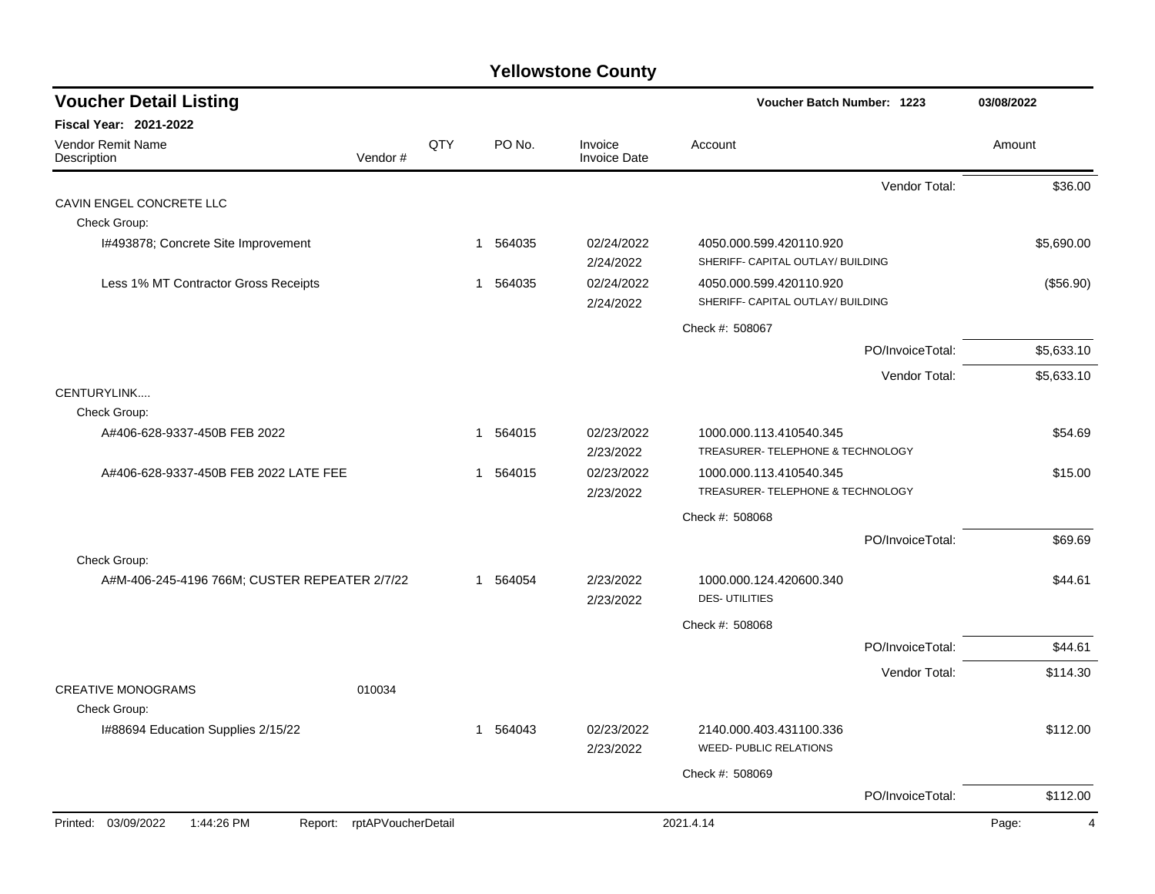| <b>Voucher Detail Listing</b>                 |                               |     |                        |                                | Voucher Batch Number: 1223                                   |                  | 03/08/2022              |
|-----------------------------------------------|-------------------------------|-----|------------------------|--------------------------------|--------------------------------------------------------------|------------------|-------------------------|
| <b>Fiscal Year: 2021-2022</b>                 |                               |     |                        |                                |                                                              |                  |                         |
| <b>Vendor Remit Name</b><br>Description       | Vendor#                       | QTY | PO No.                 | Invoice<br><b>Invoice Date</b> | Account                                                      |                  | Amount                  |
|                                               |                               |     |                        |                                |                                                              | Vendor Total:    | \$36.00                 |
| CAVIN ENGEL CONCRETE LLC                      |                               |     |                        |                                |                                                              |                  |                         |
| Check Group:                                  |                               |     |                        |                                |                                                              |                  |                         |
| I#493878; Concrete Site Improvement           |                               |     | 564035<br>$\mathbf{1}$ | 02/24/2022<br>2/24/2022        | 4050.000.599.420110.920<br>SHERIFF- CAPITAL OUTLAY/ BUILDING |                  | \$5,690.00              |
| Less 1% MT Contractor Gross Receipts          |                               |     | 1 564035               | 02/24/2022<br>2/24/2022        | 4050.000.599.420110.920<br>SHERIFF- CAPITAL OUTLAY/ BUILDING |                  | (\$56.90)               |
|                                               |                               |     |                        |                                | Check #: 508067                                              |                  |                         |
|                                               |                               |     |                        |                                |                                                              | PO/InvoiceTotal: | \$5,633.10              |
|                                               |                               |     |                        |                                |                                                              | Vendor Total:    | \$5,633.10              |
| CENTURYLINK                                   |                               |     |                        |                                |                                                              |                  |                         |
| Check Group:                                  |                               |     |                        |                                |                                                              |                  |                         |
| A#406-628-9337-450B FEB 2022                  |                               |     | 564015<br>1            | 02/23/2022<br>2/23/2022        | 1000.000.113.410540.345<br>TREASURER- TELEPHONE & TECHNOLOGY |                  | \$54.69                 |
| A#406-628-9337-450B FEB 2022 LATE FEE         |                               |     | 1 564015               | 02/23/2022<br>2/23/2022        | 1000.000.113.410540.345<br>TREASURER- TELEPHONE & TECHNOLOGY |                  | \$15.00                 |
|                                               |                               |     |                        |                                | Check #: 508068                                              |                  |                         |
|                                               |                               |     |                        |                                |                                                              | PO/InvoiceTotal: | \$69.69                 |
| Check Group:                                  |                               |     |                        |                                |                                                              |                  |                         |
| A#M-406-245-4196 766M; CUSTER REPEATER 2/7/22 |                               |     | 1 564054               | 2/23/2022<br>2/23/2022         | 1000.000.124.420600.340<br><b>DES-UTILITIES</b>              |                  | \$44.61                 |
|                                               |                               |     |                        |                                | Check #: 508068                                              |                  |                         |
|                                               |                               |     |                        |                                |                                                              | PO/InvoiceTotal: | \$44.61                 |
|                                               |                               |     |                        |                                |                                                              | Vendor Total:    | \$114.30                |
| <b>CREATIVE MONOGRAMS</b><br>Check Group:     | 010034                        |     |                        |                                |                                                              |                  |                         |
| I#88694 Education Supplies 2/15/22            |                               |     | 564043<br>1            | 02/23/2022<br>2/23/2022        | 2140.000.403.431100.336<br><b>WEED- PUBLIC RELATIONS</b>     |                  | \$112.00                |
|                                               |                               |     |                        |                                | Check #: 508069                                              |                  |                         |
|                                               |                               |     |                        |                                |                                                              | PO/InvoiceTotal: | \$112.00                |
| Printed: 03/09/2022<br>1:44:26 PM             | rptAPVoucherDetail<br>Report: |     |                        |                                | 2021.4.14                                                    |                  | Page:<br>$\overline{4}$ |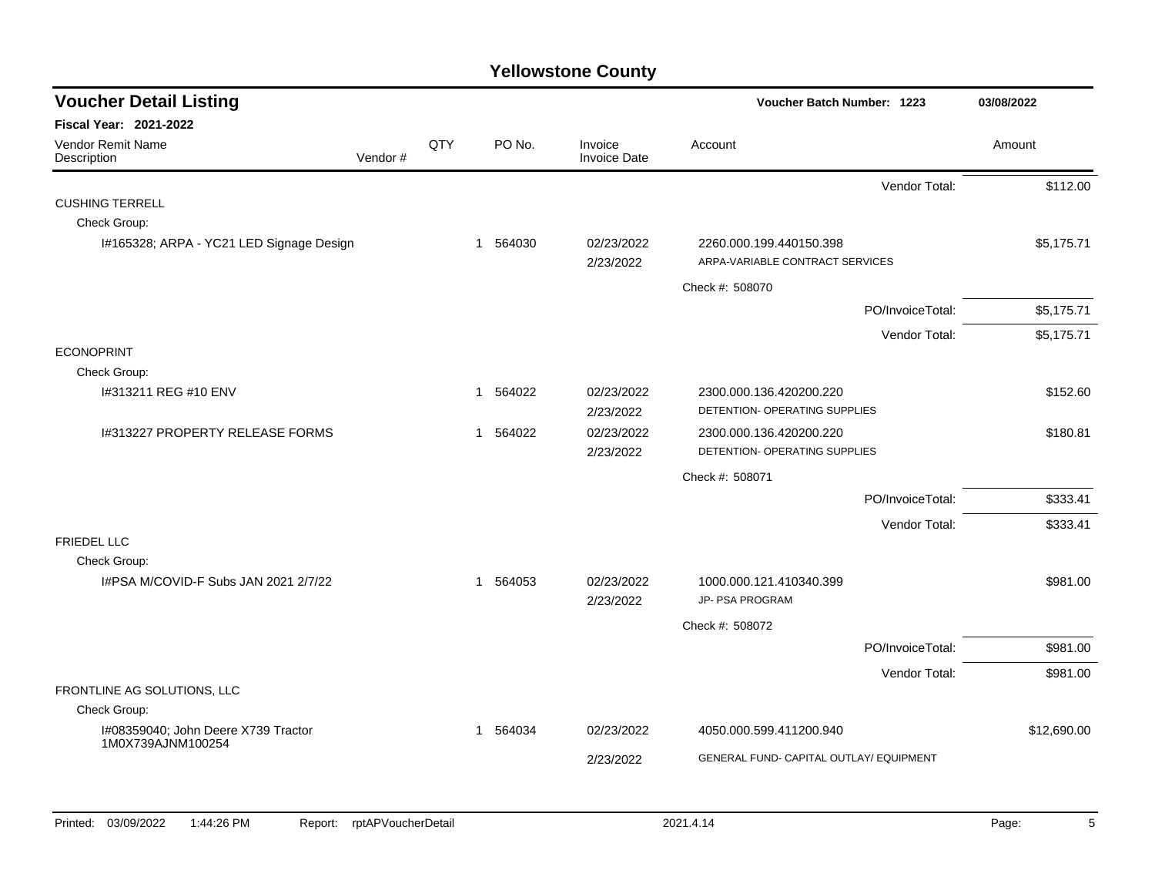| <b>Voucher Detail Listing</b>                            |         |     |             |                                | <b>Voucher Batch Number: 1223</b>                          |                  | 03/08/2022  |
|----------------------------------------------------------|---------|-----|-------------|--------------------------------|------------------------------------------------------------|------------------|-------------|
| Fiscal Year: 2021-2022                                   |         |     |             |                                |                                                            |                  |             |
| Vendor Remit Name<br>Description                         | Vendor# | QTY | PO No.      | Invoice<br><b>Invoice Date</b> | Account                                                    |                  | Amount      |
|                                                          |         |     |             |                                |                                                            | Vendor Total:    | \$112.00    |
| <b>CUSHING TERRELL</b>                                   |         |     |             |                                |                                                            |                  |             |
| Check Group:                                             |         |     |             |                                |                                                            |                  |             |
| I#165328; ARPA - YC21 LED Signage Design                 |         |     | 564030<br>1 | 02/23/2022<br>2/23/2022        | 2260.000.199.440150.398<br>ARPA-VARIABLE CONTRACT SERVICES |                  | \$5,175.71  |
|                                                          |         |     |             |                                | Check #: 508070                                            |                  |             |
|                                                          |         |     |             |                                |                                                            | PO/InvoiceTotal: | \$5,175.71  |
|                                                          |         |     |             |                                |                                                            | Vendor Total:    | \$5,175.71  |
| <b>ECONOPRINT</b>                                        |         |     |             |                                |                                                            |                  |             |
| Check Group:                                             |         |     |             |                                |                                                            |                  |             |
| #313211 REG #10 ENV                                      |         |     | 564022<br>1 | 02/23/2022<br>2/23/2022        | 2300.000.136.420200.220<br>DETENTION- OPERATING SUPPLIES   |                  | \$152.60    |
| I#313227 PROPERTY RELEASE FORMS                          |         |     | 564022<br>1 | 02/23/2022<br>2/23/2022        | 2300.000.136.420200.220<br>DETENTION- OPERATING SUPPLIES   |                  | \$180.81    |
|                                                          |         |     |             |                                | Check #: 508071                                            |                  |             |
|                                                          |         |     |             |                                |                                                            | PO/InvoiceTotal: | \$333.41    |
|                                                          |         |     |             |                                |                                                            | Vendor Total:    | \$333.41    |
| <b>FRIEDEL LLC</b>                                       |         |     |             |                                |                                                            |                  |             |
| Check Group:                                             |         |     |             |                                |                                                            |                  |             |
| I#PSA M/COVID-F Subs JAN 2021 2/7/22                     |         |     | 564053<br>1 | 02/23/2022<br>2/23/2022        | 1000.000.121.410340.399<br>JP- PSA PROGRAM                 |                  | \$981.00    |
|                                                          |         |     |             |                                | Check #: 508072                                            |                  |             |
|                                                          |         |     |             |                                |                                                            | PO/InvoiceTotal: | \$981.00    |
|                                                          |         |     |             |                                |                                                            | Vendor Total:    | \$981.00    |
| FRONTLINE AG SOLUTIONS, LLC                              |         |     |             |                                |                                                            |                  |             |
| Check Group:                                             |         |     |             |                                |                                                            |                  |             |
| I#08359040; John Deere X739 Tractor<br>1M0X739AJNM100254 |         |     | 564034<br>1 | 02/23/2022                     | 4050.000.599.411200.940                                    |                  | \$12,690.00 |
|                                                          |         |     |             | 2/23/2022                      | GENERAL FUND- CAPITAL OUTLAY/ EQUIPMENT                    |                  |             |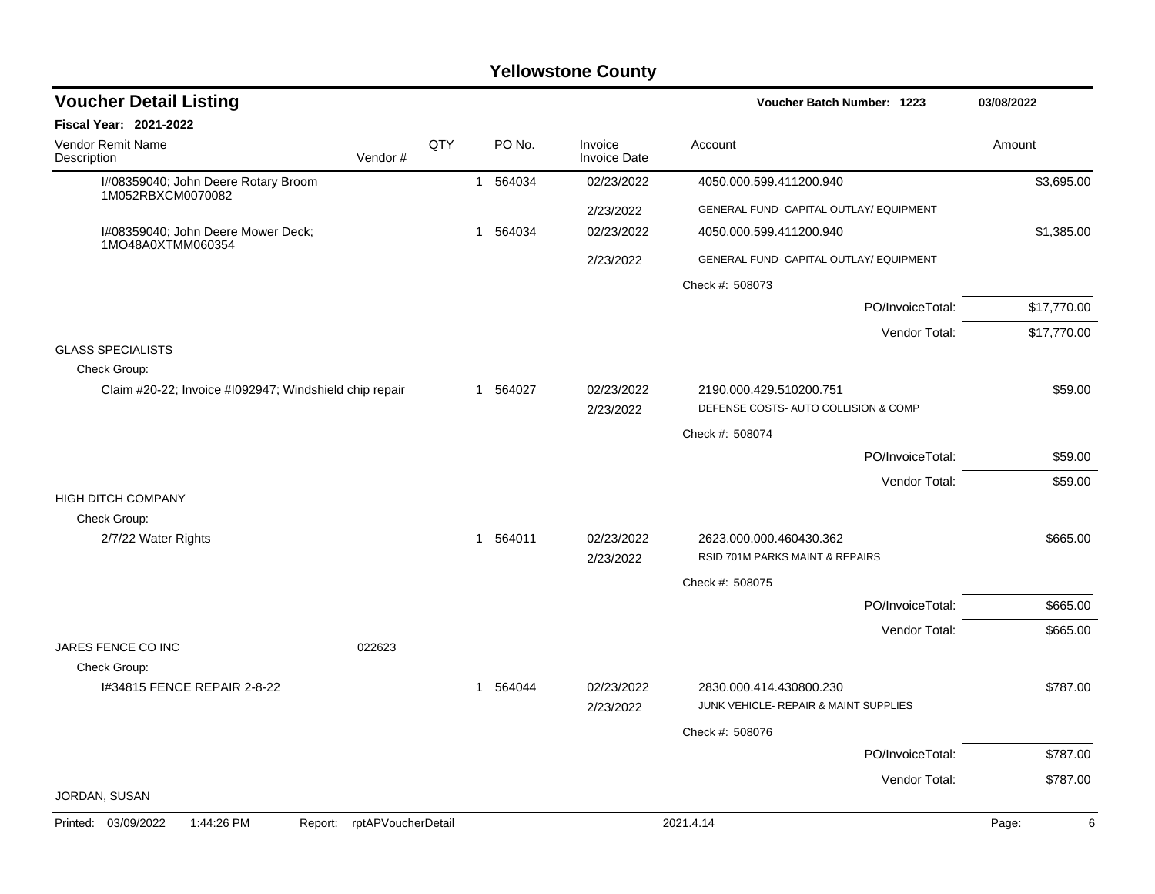| <b>Voucher Detail Listing</b>                            |                    |     |          |                                | Voucher Batch Number: 1223                                       | 03/08/2022  |
|----------------------------------------------------------|--------------------|-----|----------|--------------------------------|------------------------------------------------------------------|-------------|
| <b>Fiscal Year: 2021-2022</b>                            |                    |     |          |                                |                                                                  |             |
| Vendor Remit Name<br>Description                         | Vendor#            | QTY | PO No.   | Invoice<br><b>Invoice Date</b> | Account                                                          | Amount      |
| I#08359040; John Deere Rotary Broom<br>1M052RBXCM0070082 |                    |     | 1 564034 | 02/23/2022                     | 4050.000.599.411200.940                                          | \$3,695.00  |
|                                                          |                    |     |          | 2/23/2022                      | GENERAL FUND- CAPITAL OUTLAY/ EQUIPMENT                          |             |
| I#08359040; John Deere Mower Deck;<br>1MO48A0XTMM060354  |                    |     | 1 564034 | 02/23/2022                     | 4050.000.599.411200.940                                          | \$1,385.00  |
|                                                          |                    |     |          | 2/23/2022                      | GENERAL FUND- CAPITAL OUTLAY/ EQUIPMENT                          |             |
|                                                          |                    |     |          |                                | Check #: 508073                                                  |             |
|                                                          |                    |     |          |                                | PO/InvoiceTotal:                                                 | \$17,770.00 |
|                                                          |                    |     |          |                                | Vendor Total:                                                    | \$17,770.00 |
| <b>GLASS SPECIALISTS</b><br>Check Group:                 |                    |     |          |                                |                                                                  |             |
| Claim #20-22; Invoice #1092947; Windshield chip repair   |                    |     | 1 564027 | 02/23/2022                     | 2190.000.429.510200.751                                          | \$59.00     |
|                                                          |                    |     |          | 2/23/2022                      | DEFENSE COSTS- AUTO COLLISION & COMP                             |             |
|                                                          |                    |     |          |                                | Check #: 508074                                                  |             |
|                                                          |                    |     |          |                                | PO/InvoiceTotal:                                                 | \$59.00     |
| <b>HIGH DITCH COMPANY</b>                                |                    |     |          |                                | Vendor Total:                                                    | \$59.00     |
| Check Group:                                             |                    |     |          |                                |                                                                  |             |
| 2/7/22 Water Rights                                      |                    |     | 1 564011 | 02/23/2022                     | 2623.000.000.460430.362                                          | \$665.00    |
|                                                          |                    |     |          | 2/23/2022                      | RSID 701M PARKS MAINT & REPAIRS                                  |             |
|                                                          |                    |     |          |                                | Check #: 508075                                                  |             |
|                                                          |                    |     |          |                                | PO/InvoiceTotal:                                                 | \$665.00    |
| JARES FENCE CO INC                                       | 022623             |     |          |                                | Vendor Total:                                                    | \$665.00    |
| Check Group:<br>1#34815 FENCE REPAIR 2-8-22              |                    |     | 1 564044 | 02/23/2022<br>2/23/2022        | 2830.000.414.430800.230<br>JUNK VEHICLE- REPAIR & MAINT SUPPLIES | \$787.00    |
|                                                          |                    |     |          |                                | Check #: 508076                                                  |             |
|                                                          |                    |     |          |                                | PO/InvoiceTotal:                                                 | \$787.00    |
|                                                          |                    |     |          |                                | Vendor Total:                                                    | \$787.00    |
| JORDAN, SUSAN                                            |                    |     |          |                                |                                                                  |             |
| 1:44:26 PM<br>Printed: 03/09/2022<br>Report:             | rptAPVoucherDetail |     |          |                                | 2021.4.14                                                        | 6<br>Page:  |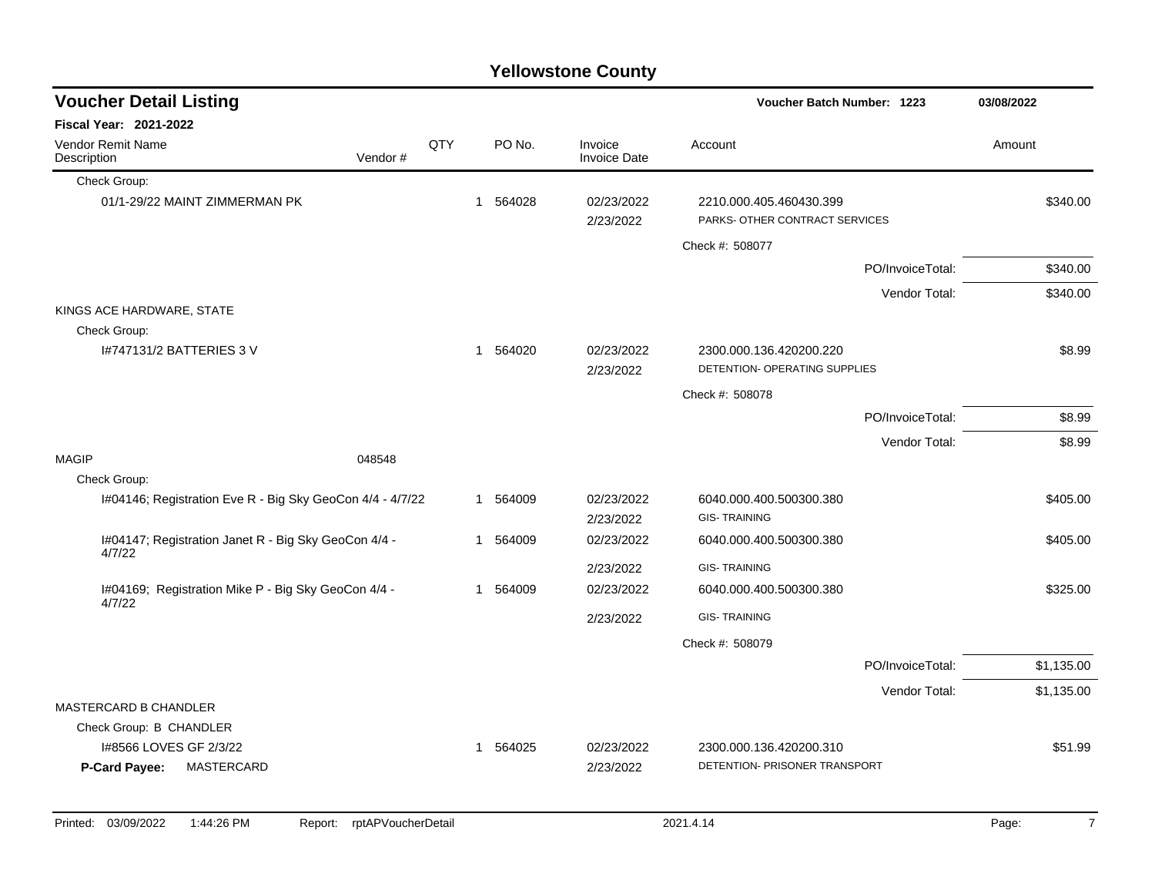|              |                                                                |         |     |          | <b>Yellowstone County</b>      |                                                           |                  |            |
|--------------|----------------------------------------------------------------|---------|-----|----------|--------------------------------|-----------------------------------------------------------|------------------|------------|
|              | <b>Voucher Detail Listing</b>                                  |         |     |          |                                | Voucher Batch Number: 1223                                |                  | 03/08/2022 |
|              | <b>Fiscal Year: 2021-2022</b>                                  |         |     |          |                                |                                                           |                  |            |
| Description  | Vendor Remit Name                                              | Vendor# | QTY | PO No.   | Invoice<br><b>Invoice Date</b> | Account                                                   |                  | Amount     |
|              | Check Group:                                                   |         |     |          |                                |                                                           |                  |            |
|              | 01/1-29/22 MAINT ZIMMERMAN PK                                  |         |     | 1 564028 | 02/23/2022<br>2/23/2022        | 2210.000.405.460430.399<br>PARKS- OTHER CONTRACT SERVICES |                  | \$340.00   |
|              |                                                                |         |     |          |                                | Check #: 508077                                           |                  |            |
|              |                                                                |         |     |          |                                |                                                           | PO/InvoiceTotal: | \$340.00   |
|              |                                                                |         |     |          |                                |                                                           | Vendor Total:    | \$340.00   |
|              | KINGS ACE HARDWARE, STATE                                      |         |     |          |                                |                                                           |                  |            |
|              | Check Group:<br>1#747131/2 BATTERIES 3 V                       |         |     | 1 564020 | 02/23/2022<br>2/23/2022        | 2300.000.136.420200.220<br>DETENTION- OPERATING SUPPLIES  |                  | \$8.99     |
|              |                                                                |         |     |          |                                | Check #: 508078                                           |                  |            |
|              |                                                                |         |     |          |                                |                                                           | PO/InvoiceTotal: | \$8.99     |
|              |                                                                |         |     |          |                                |                                                           | Vendor Total:    | \$8.99     |
| <b>MAGIP</b> |                                                                | 048548  |     |          |                                |                                                           |                  |            |
|              | Check Group:                                                   |         |     |          |                                |                                                           |                  |            |
|              | I#04146; Registration Eve R - Big Sky GeoCon 4/4 - 4/7/22      |         |     | 1 564009 | 02/23/2022<br>2/23/2022        | 6040.000.400.500300.380<br><b>GIS-TRAINING</b>            |                  | \$405.00   |
|              | I#04147; Registration Janet R - Big Sky GeoCon 4/4 -<br>4/7/22 |         |     | 1 564009 | 02/23/2022                     | 6040.000.400.500300.380                                   |                  | \$405.00   |
|              |                                                                |         |     |          | 2/23/2022                      | <b>GIS-TRAINING</b>                                       |                  |            |
|              | I#04169; Registration Mike P - Big Sky GeoCon 4/4 -<br>4/7/22  |         |     | 1 564009 | 02/23/2022                     | 6040.000.400.500300.380                                   |                  | \$325.00   |
|              |                                                                |         |     |          | 2/23/2022                      | <b>GIS-TRAINING</b>                                       |                  |            |
|              |                                                                |         |     |          |                                | Check #: 508079                                           |                  |            |
|              |                                                                |         |     |          |                                |                                                           | PO/InvoiceTotal: | \$1,135.00 |
|              |                                                                |         |     |          |                                |                                                           | Vendor Total:    | \$1,135.00 |
|              | MASTERCARD B CHANDLER                                          |         |     |          |                                |                                                           |                  |            |
|              | Check Group: B CHANDLER                                        |         |     |          |                                |                                                           |                  |            |
|              | 1#8566 LOVES GF 2/3/22<br>MASTERCARD<br><b>P-Card Payee:</b>   |         |     | 1 564025 | 02/23/2022<br>2/23/2022        | 2300.000.136.420200.310<br>DETENTION- PRISONER TRANSPORT  |                  | \$51.99    |

## Printed: 03/09/2022 1:44:26 PM Report: rptAPVoucherDetail 2021.4.14 2021.4.14 Page: 7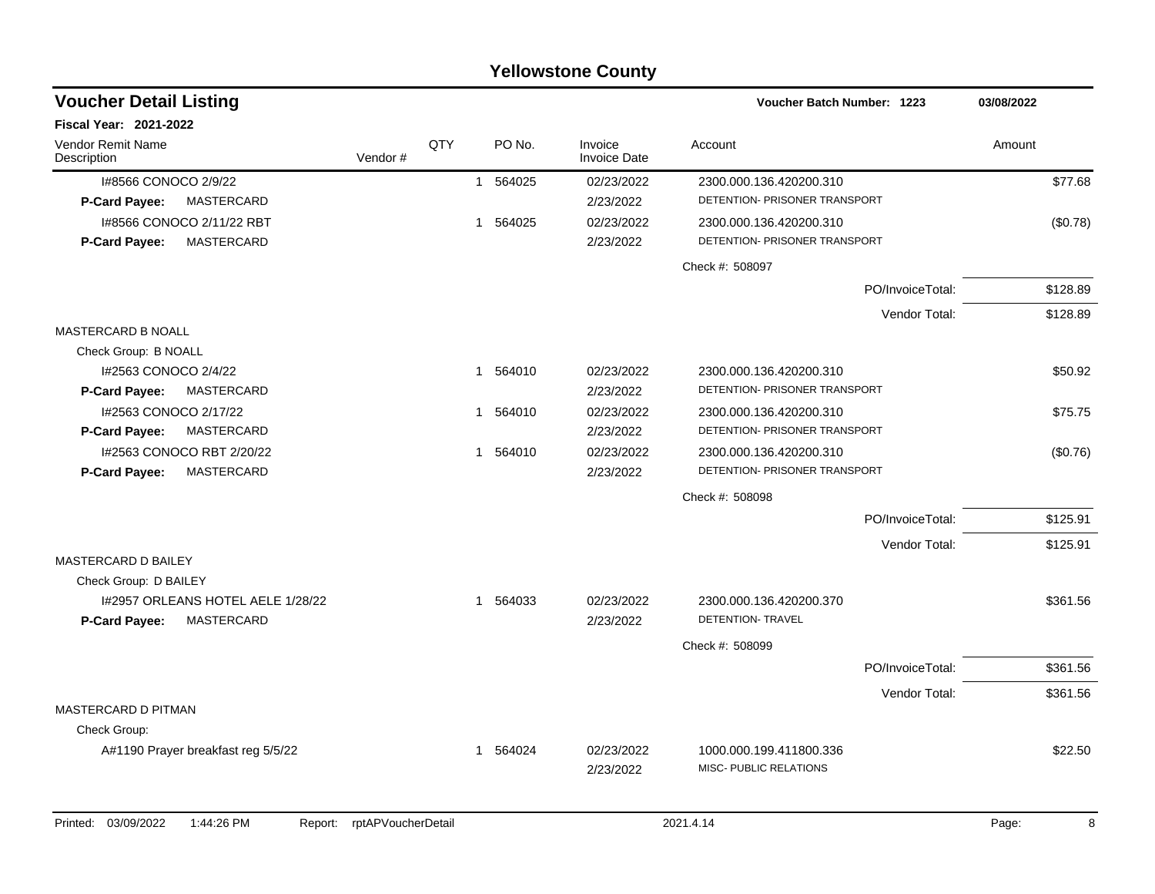|                                           |         |     |              |          | <b>Yellowstone County</b>      |                                                   |                  |            |
|-------------------------------------------|---------|-----|--------------|----------|--------------------------------|---------------------------------------------------|------------------|------------|
| <b>Voucher Detail Listing</b>             |         |     |              |          |                                | Voucher Batch Number: 1223                        |                  | 03/08/2022 |
| <b>Fiscal Year: 2021-2022</b>             |         |     |              |          |                                |                                                   |                  |            |
| Vendor Remit Name<br>Description          | Vendor# | QTY |              | PO No.   | Invoice<br><b>Invoice Date</b> | Account                                           |                  | Amount     |
| I#8566 CONOCO 2/9/22                      |         |     |              | 1 564025 | 02/23/2022                     | 2300.000.136.420200.310                           |                  | \$77.68    |
| P-Card Payee:<br>MASTERCARD               |         |     |              |          | 2/23/2022                      | DETENTION- PRISONER TRANSPORT                     |                  |            |
| 1#8566 CONOCO 2/11/22 RBT                 |         |     |              | 1 564025 | 02/23/2022                     | 2300.000.136.420200.310                           |                  | (\$0.78)   |
| <b>MASTERCARD</b><br><b>P-Card Payee:</b> |         |     |              |          | 2/23/2022                      | DETENTION- PRISONER TRANSPORT                     |                  |            |
|                                           |         |     |              |          |                                | Check #: 508097                                   |                  |            |
|                                           |         |     |              |          |                                |                                                   | PO/InvoiceTotal: | \$128.89   |
|                                           |         |     |              |          |                                |                                                   | Vendor Total:    | \$128.89   |
| <b>MASTERCARD B NOALL</b>                 |         |     |              |          |                                |                                                   |                  |            |
| Check Group: B NOALL                      |         |     |              |          |                                |                                                   |                  |            |
| I#2563 CONOCO 2/4/22                      |         |     |              | 1 564010 | 02/23/2022                     | 2300.000.136.420200.310                           |                  | \$50.92    |
| P-Card Payee:<br>MASTERCARD               |         |     |              |          | 2/23/2022                      | DETENTION- PRISONER TRANSPORT                     |                  |            |
| I#2563 CONOCO 2/17/22                     |         |     |              | 1 564010 | 02/23/2022                     | 2300.000.136.420200.310                           |                  | \$75.75    |
| MASTERCARD<br><b>P-Card Payee:</b>        |         |     |              |          | 2/23/2022                      | DETENTION- PRISONER TRANSPORT                     |                  |            |
| I#2563 CONOCO RBT 2/20/22                 |         |     | $\mathbf{1}$ | 564010   | 02/23/2022                     | 2300.000.136.420200.310                           |                  | (\$0.76)   |
| MASTERCARD<br>P-Card Payee:               |         |     |              |          | 2/23/2022                      | DETENTION- PRISONER TRANSPORT                     |                  |            |
|                                           |         |     |              |          |                                | Check #: 508098                                   |                  |            |
|                                           |         |     |              |          |                                |                                                   | PO/InvoiceTotal: | \$125.91   |
|                                           |         |     |              |          |                                |                                                   | Vendor Total:    | \$125.91   |
| MASTERCARD D BAILEY                       |         |     |              |          |                                |                                                   |                  |            |
| Check Group: D BAILEY                     |         |     |              |          |                                |                                                   |                  |            |
| I#2957 ORLEANS HOTEL AELE 1/28/22         |         |     |              | 1 564033 | 02/23/2022                     | 2300.000.136.420200.370                           |                  | \$361.56   |
| <b>MASTERCARD</b><br><b>P-Card Payee:</b> |         |     |              |          | 2/23/2022                      | DETENTION- TRAVEL                                 |                  |            |
|                                           |         |     |              |          |                                | Check #: 508099                                   |                  |            |
|                                           |         |     |              |          |                                |                                                   | PO/InvoiceTotal: | \$361.56   |
|                                           |         |     |              |          |                                |                                                   | Vendor Total:    | \$361.56   |
| <b>MASTERCARD D PITMAN</b>                |         |     |              |          |                                |                                                   |                  |            |
| Check Group:                              |         |     |              |          |                                |                                                   |                  |            |
| A#1190 Prayer breakfast reg 5/5/22        |         |     |              | 1 564024 | 02/23/2022                     | 1000.000.199.411800.336<br>MISC- PUBLIC RELATIONS |                  | \$22.50    |
|                                           |         |     |              |          | 2/23/2022                      |                                                   |                  |            |
|                                           |         |     |              |          |                                |                                                   |                  |            |

Printed: 03/09/2022 1:44:26 PM Report: rptAPVoucherDetail 2021.4.14 2021.4.14 Page: 8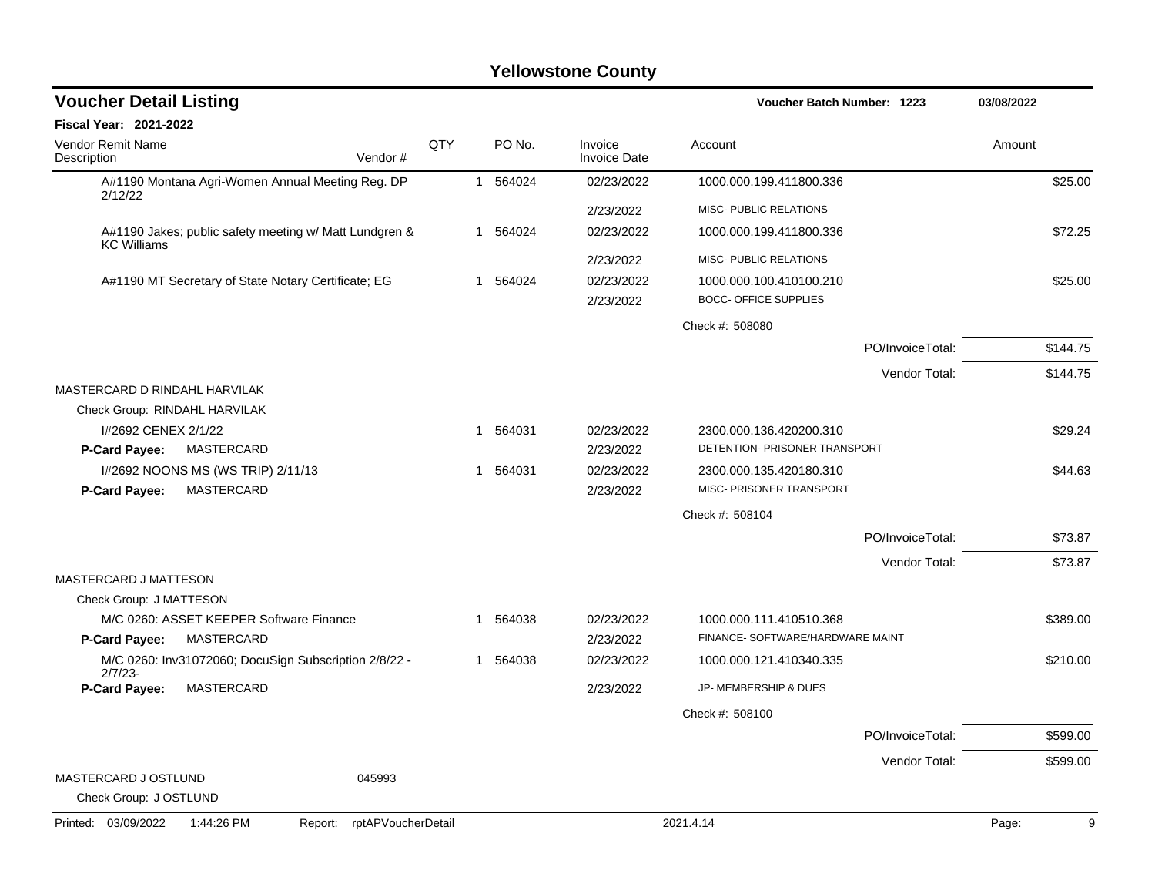| <b>Voucher Detail Listing</b><br>Voucher Batch Number: 1223                  |     |              | 03/08/2022 |                                |                                                          |                  |            |
|------------------------------------------------------------------------------|-----|--------------|------------|--------------------------------|----------------------------------------------------------|------------------|------------|
| Fiscal Year: 2021-2022                                                       |     |              |            |                                |                                                          |                  |            |
| Vendor Remit Name<br>Description<br>Vendor#                                  | QTY |              | PO No.     | Invoice<br><b>Invoice Date</b> | Account                                                  |                  | Amount     |
| A#1190 Montana Agri-Women Annual Meeting Reg. DP                             |     |              | 1 564024   | 02/23/2022                     | 1000.000.199.411800.336                                  |                  | \$25.00    |
| 2/12/22                                                                      |     |              |            | 2/23/2022                      | MISC- PUBLIC RELATIONS                                   |                  |            |
| A#1190 Jakes; public safety meeting w/ Matt Lundgren &<br><b>KC Williams</b> |     |              | 1 564024   | 02/23/2022                     | 1000.000.199.411800.336                                  |                  | \$72.25    |
|                                                                              |     |              |            | 2/23/2022                      | MISC- PUBLIC RELATIONS                                   |                  |            |
| A#1190 MT Secretary of State Notary Certificate; EG                          |     |              | 1 564024   | 02/23/2022<br>2/23/2022        | 1000.000.100.410100.210<br><b>BOCC- OFFICE SUPPLIES</b>  |                  | \$25.00    |
|                                                                              |     |              |            |                                | Check #: 508080                                          |                  |            |
|                                                                              |     |              |            |                                |                                                          | PO/InvoiceTotal: | \$144.75   |
|                                                                              |     |              |            |                                |                                                          | Vendor Total:    | \$144.75   |
| MASTERCARD D RINDAHL HARVILAK                                                |     |              |            |                                |                                                          |                  |            |
| Check Group: RINDAHL HARVILAK                                                |     |              |            |                                |                                                          |                  |            |
| I#2692 CENEX 2/1/22<br><b>MASTERCARD</b><br>P-Card Payee:                    |     |              | 1 564031   | 02/23/2022<br>2/23/2022        | 2300.000.136.420200.310<br>DETENTION- PRISONER TRANSPORT |                  | \$29.24    |
| I#2692 NOONS MS (WS TRIP) 2/11/13                                            |     | $\mathbf{1}$ | 564031     | 02/23/2022                     | 2300.000.135.420180.310                                  |                  | \$44.63    |
| P-Card Payee:<br>MASTERCARD                                                  |     |              |            | 2/23/2022                      | MISC- PRISONER TRANSPORT                                 |                  |            |
|                                                                              |     |              |            |                                | Check #: 508104                                          |                  |            |
|                                                                              |     |              |            |                                |                                                          | PO/InvoiceTotal: | \$73.87    |
|                                                                              |     |              |            |                                |                                                          | Vendor Total:    | \$73.87    |
| MASTERCARD J MATTESON                                                        |     |              |            |                                |                                                          |                  |            |
| Check Group: J MATTESON                                                      |     |              |            |                                |                                                          |                  |            |
| M/C 0260: ASSET KEEPER Software Finance                                      |     | 1            | 564038     | 02/23/2022                     | 1000.000.111.410510.368                                  |                  | \$389.00   |
| MASTERCARD<br><b>P-Card Payee:</b>                                           |     |              |            | 2/23/2022                      | FINANCE- SOFTWARE/HARDWARE MAINT                         |                  |            |
| M/C 0260: Inv31072060; DocuSign Subscription 2/8/22 -<br>$2/7/23-$           |     |              | 1 564038   | 02/23/2022                     | 1000.000.121.410340.335                                  |                  | \$210.00   |
| P-Card Payee:<br>MASTERCARD                                                  |     |              |            | 2/23/2022                      | JP- MEMBERSHIP & DUES                                    |                  |            |
|                                                                              |     |              |            |                                | Check #: 508100                                          |                  |            |
|                                                                              |     |              |            |                                |                                                          | PO/InvoiceTotal: | \$599.00   |
|                                                                              |     |              |            |                                |                                                          | Vendor Total:    | \$599.00   |
| MASTERCARD J OSTLUND<br>045993<br>Check Group: J OSTLUND                     |     |              |            |                                |                                                          |                  |            |
| rptAPVoucherDetail<br>Printed: 03/09/2022<br>1:44:26 PM<br>Report:           |     |              |            |                                | 2021.4.14                                                |                  | 9<br>Page: |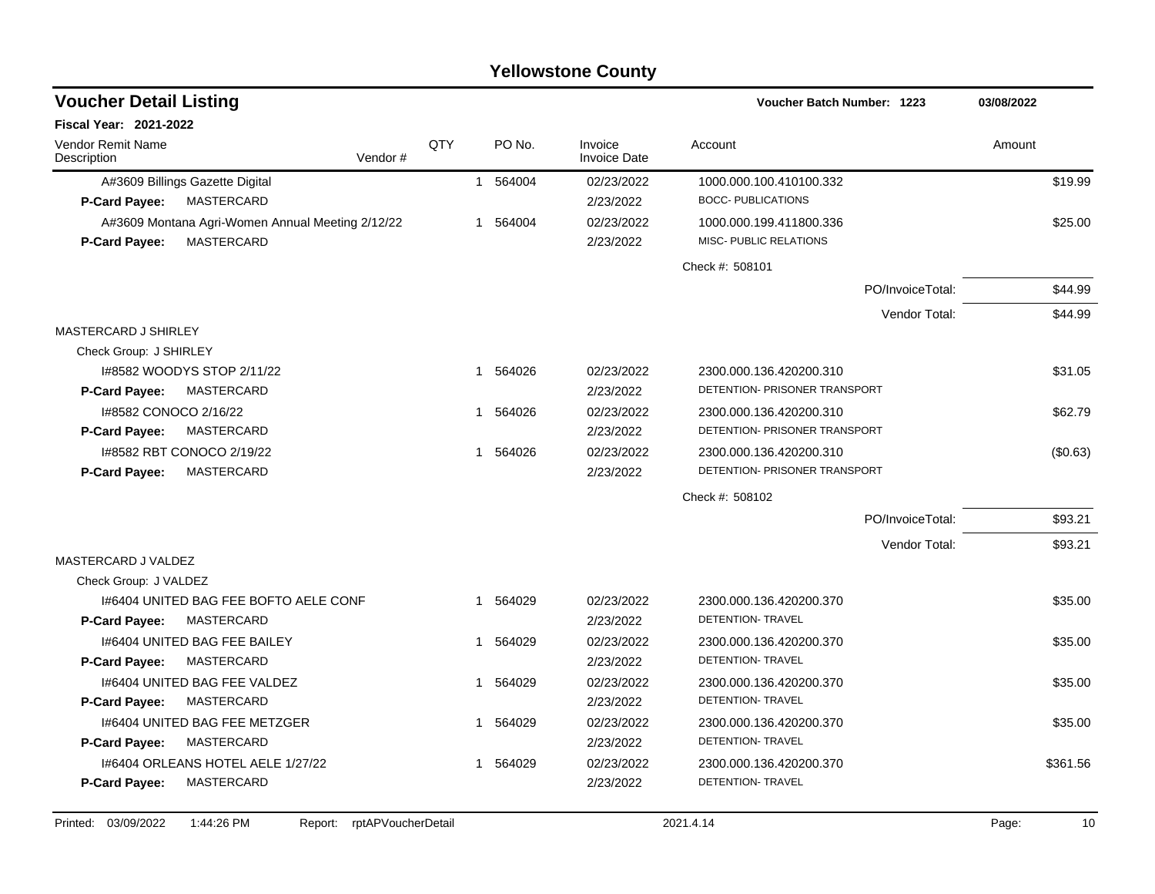| <b>Voucher Detail Listing</b>                    |            |                |          |                                | Voucher Batch Number: 1223    | 03/08/2022 |
|--------------------------------------------------|------------|----------------|----------|--------------------------------|-------------------------------|------------|
| <b>Fiscal Year: 2021-2022</b>                    |            |                |          |                                |                               |            |
| Vendor Remit Name<br>Description<br>Vendor#      | <b>QTY</b> |                | PO No.   | Invoice<br><b>Invoice Date</b> | Account                       | Amount     |
| A#3609 Billings Gazette Digital                  |            |                | 1 564004 | 02/23/2022                     | 1000.000.100.410100.332       | \$19.99    |
| MASTERCARD<br><b>P-Card Payee:</b>               |            |                |          | 2/23/2022                      | <b>BOCC- PUBLICATIONS</b>     |            |
| A#3609 Montana Agri-Women Annual Meeting 2/12/22 |            | 1              | 564004   | 02/23/2022                     | 1000.000.199.411800.336       | \$25.00    |
| MASTERCARD<br>P-Card Payee:                      |            |                |          | 2/23/2022                      | MISC- PUBLIC RELATIONS        |            |
|                                                  |            |                |          |                                | Check #: 508101               |            |
|                                                  |            |                |          |                                | PO/InvoiceTotal:              | \$44.99    |
|                                                  |            |                |          |                                | Vendor Total:                 | \$44.99    |
| <b>MASTERCARD J SHIRLEY</b>                      |            |                |          |                                |                               |            |
| Check Group: J SHIRLEY                           |            |                |          |                                |                               |            |
| 1#8582 WOODYS STOP 2/11/22                       |            |                | 1 564026 | 02/23/2022                     | 2300.000.136.420200.310       | \$31.05    |
| P-Card Payee:<br>MASTERCARD                      |            |                |          | 2/23/2022                      | DETENTION- PRISONER TRANSPORT |            |
| 1#8582 CONOCO 2/16/22                            |            | 1              | 564026   | 02/23/2022                     | 2300.000.136.420200.310       | \$62.79    |
| P-Card Payee:<br>MASTERCARD                      |            |                |          | 2/23/2022                      | DETENTION- PRISONER TRANSPORT |            |
| 1#8582 RBT CONOCO 2/19/22                        |            | $\mathbf 1$    | 564026   | 02/23/2022                     | 2300.000.136.420200.310       | (\$0.63)   |
| MASTERCARD<br>P-Card Payee:                      |            |                |          | 2/23/2022                      | DETENTION- PRISONER TRANSPORT |            |
|                                                  |            |                |          |                                | Check #: 508102               |            |
|                                                  |            |                |          |                                | PO/InvoiceTotal:              | \$93.21    |
|                                                  |            |                |          |                                | Vendor Total:                 | \$93.21    |
| MASTERCARD J VALDEZ                              |            |                |          |                                |                               |            |
| Check Group: J VALDEZ                            |            |                |          |                                |                               |            |
| 1#6404 UNITED BAG FEE BOFTO AELE CONF            |            | 1              | 564029   | 02/23/2022                     | 2300.000.136.420200.370       | \$35.00    |
| P-Card Payee:<br>MASTERCARD                      |            |                |          | 2/23/2022                      | <b>DETENTION- TRAVEL</b>      |            |
| 1#6404 UNITED BAG FEE BAILEY                     |            |                | 1 564029 | 02/23/2022                     | 2300.000.136.420200.370       | \$35.00    |
| P-Card Payee:<br>MASTERCARD                      |            |                |          | 2/23/2022                      | DETENTION- TRAVEL             |            |
| 1#6404 UNITED BAG FEE VALDEZ                     |            | $\mathbf 1$    | 564029   | 02/23/2022                     | 2300.000.136.420200.370       | \$35.00    |
| MASTERCARD<br>P-Card Payee:                      |            |                |          | 2/23/2022                      | DETENTION- TRAVEL             |            |
| 1#6404 UNITED BAG FEE METZGER                    |            | $\mathbf{1}$   | 564029   | 02/23/2022                     | 2300.000.136.420200.370       | \$35.00    |
| P-Card Payee:<br>MASTERCARD                      |            |                |          | 2/23/2022                      | DETENTION- TRAVEL             |            |
| 1#6404 ORLEANS HOTEL AELE 1/27/22                |            | $\overline{1}$ | 564029   | 02/23/2022                     | 2300.000.136.420200.370       | \$361.56   |
| MASTERCARD<br>P-Card Payee:                      |            |                |          | 2/23/2022                      | DETENTION- TRAVEL             |            |
|                                                  |            |                |          |                                |                               |            |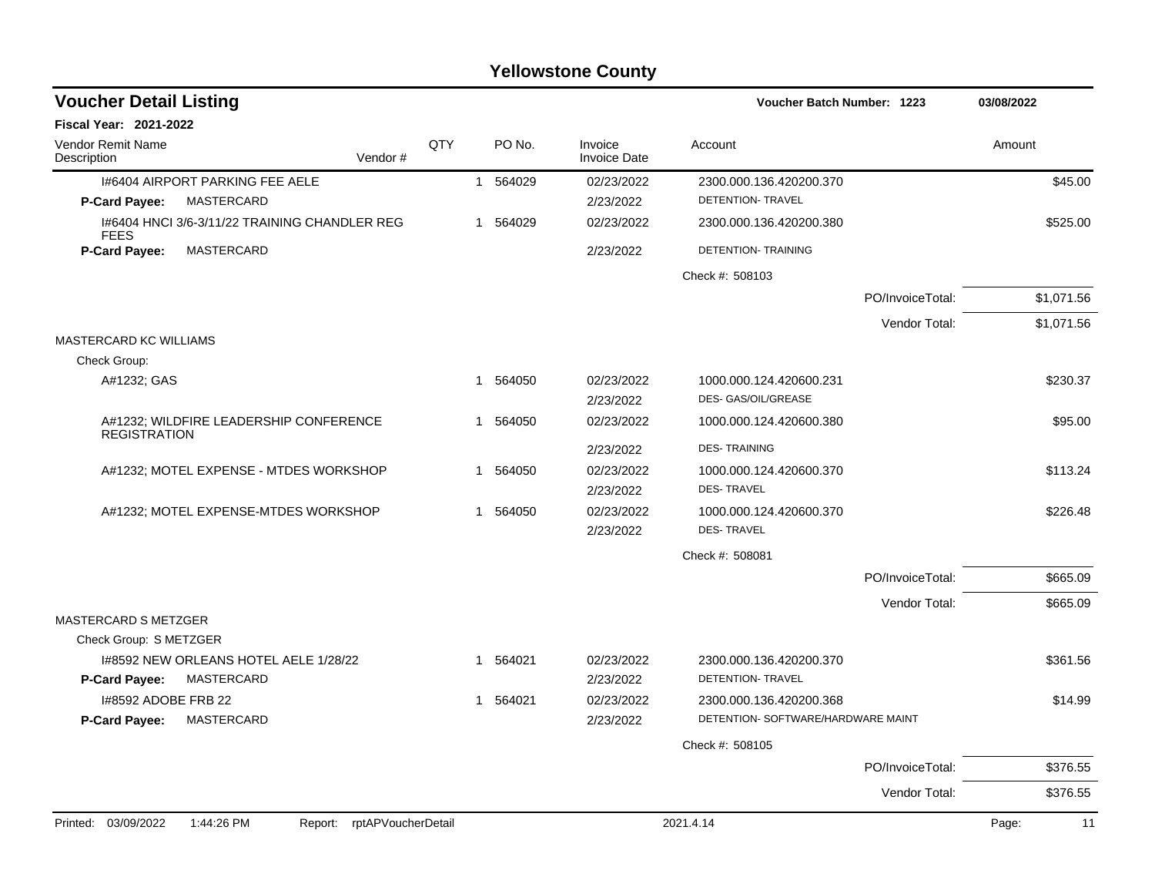| <b>Voucher Detail Listing</b>        |                                               |                    |              |          |                                | <b>Voucher Batch Number: 1223</b>                             |                  | 03/08/2022  |
|--------------------------------------|-----------------------------------------------|--------------------|--------------|----------|--------------------------------|---------------------------------------------------------------|------------------|-------------|
| <b>Fiscal Year: 2021-2022</b>        |                                               |                    |              |          |                                |                                                               |                  |             |
| Vendor Remit Name<br>Description     | Vendor#                                       | QTY                |              | PO No.   | Invoice<br><b>Invoice Date</b> | Account                                                       |                  | Amount      |
|                                      | 1#6404 AIRPORT PARKING FEE AELE               |                    | $\mathbf{1}$ | 564029   | 02/23/2022                     | 2300.000.136.420200.370                                       |                  | \$45.00     |
| P-Card Payee:                        | MASTERCARD                                    |                    |              |          | 2/23/2022                      | DETENTION- TRAVEL                                             |                  |             |
| <b>FEES</b>                          | 1#6404 HNCI 3/6-3/11/22 TRAINING CHANDLER REG |                    |              | 1 564029 | 02/23/2022                     | 2300.000.136.420200.380                                       |                  | \$525.00    |
| P-Card Payee:                        | MASTERCARD                                    |                    |              |          | 2/23/2022                      | DETENTION- TRAINING                                           |                  |             |
|                                      |                                               |                    |              |          |                                | Check #: 508103                                               |                  |             |
|                                      |                                               |                    |              |          |                                |                                                               | PO/InvoiceTotal: | \$1,071.56  |
|                                      |                                               |                    |              |          |                                |                                                               | Vendor Total:    | \$1,071.56  |
| <b>MASTERCARD KC WILLIAMS</b>        |                                               |                    |              |          |                                |                                                               |                  |             |
| Check Group:                         |                                               |                    |              |          |                                |                                                               |                  |             |
| A#1232; GAS                          |                                               |                    | $\mathbf 1$  | 564050   | 02/23/2022                     | 1000.000.124.420600.231                                       |                  | \$230.37    |
|                                      |                                               |                    |              |          | 2/23/2022                      | DES- GAS/OIL/GREASE                                           |                  |             |
| <b>REGISTRATION</b>                  | A#1232; WILDFIRE LEADERSHIP CONFERENCE        |                    | 1            | 564050   | 02/23/2022                     | 1000.000.124.420600.380                                       |                  | \$95.00     |
|                                      |                                               |                    |              |          | 2/23/2022                      | <b>DES-TRAINING</b>                                           |                  |             |
|                                      | A#1232; MOTEL EXPENSE - MTDES WORKSHOP        |                    | 1            | 564050   | 02/23/2022                     | 1000.000.124.420600.370                                       |                  | \$113.24    |
|                                      |                                               |                    |              |          | 2/23/2022                      | <b>DES-TRAVEL</b>                                             |                  |             |
|                                      | A#1232; MOTEL EXPENSE-MTDES WORKSHOP          |                    | $\mathbf 1$  | 564050   | 02/23/2022                     | 1000.000.124.420600.370                                       |                  | \$226.48    |
|                                      |                                               |                    |              |          | 2/23/2022                      | <b>DES-TRAVEL</b>                                             |                  |             |
|                                      |                                               |                    |              |          |                                | Check #: 508081                                               |                  |             |
|                                      |                                               |                    |              |          |                                |                                                               | PO/InvoiceTotal: | \$665.09    |
|                                      |                                               |                    |              |          |                                |                                                               | Vendor Total:    | \$665.09    |
| <b>MASTERCARD S METZGER</b>          |                                               |                    |              |          |                                |                                                               |                  |             |
| Check Group: S METZGER               |                                               |                    |              |          |                                |                                                               |                  |             |
|                                      | 1#8592 NEW ORLEANS HOTEL AELE 1/28/22         |                    | -1           | 564021   | 02/23/2022                     | 2300.000.136.420200.370                                       |                  | \$361.56    |
| P-Card Payee:                        | MASTERCARD                                    |                    |              |          | 2/23/2022                      | DETENTION- TRAVEL                                             |                  |             |
| 1#8592 ADOBE FRB 22<br>P-Card Payee: | MASTERCARD                                    |                    |              | 1 564021 | 02/23/2022<br>2/23/2022        | 2300.000.136.420200.368<br>DETENTION- SOFTWARE/HARDWARE MAINT |                  | \$14.99     |
|                                      |                                               |                    |              |          |                                |                                                               |                  |             |
|                                      |                                               |                    |              |          |                                | Check #: 508105                                               |                  |             |
|                                      |                                               |                    |              |          |                                |                                                               | PO/InvoiceTotal: | \$376.55    |
|                                      |                                               |                    |              |          |                                |                                                               | Vendor Total:    | \$376.55    |
| Printed: 03/09/2022                  | 1:44:26 PM<br>Report:                         | rptAPVoucherDetail |              |          |                                | 2021.4.14                                                     |                  | Page:<br>11 |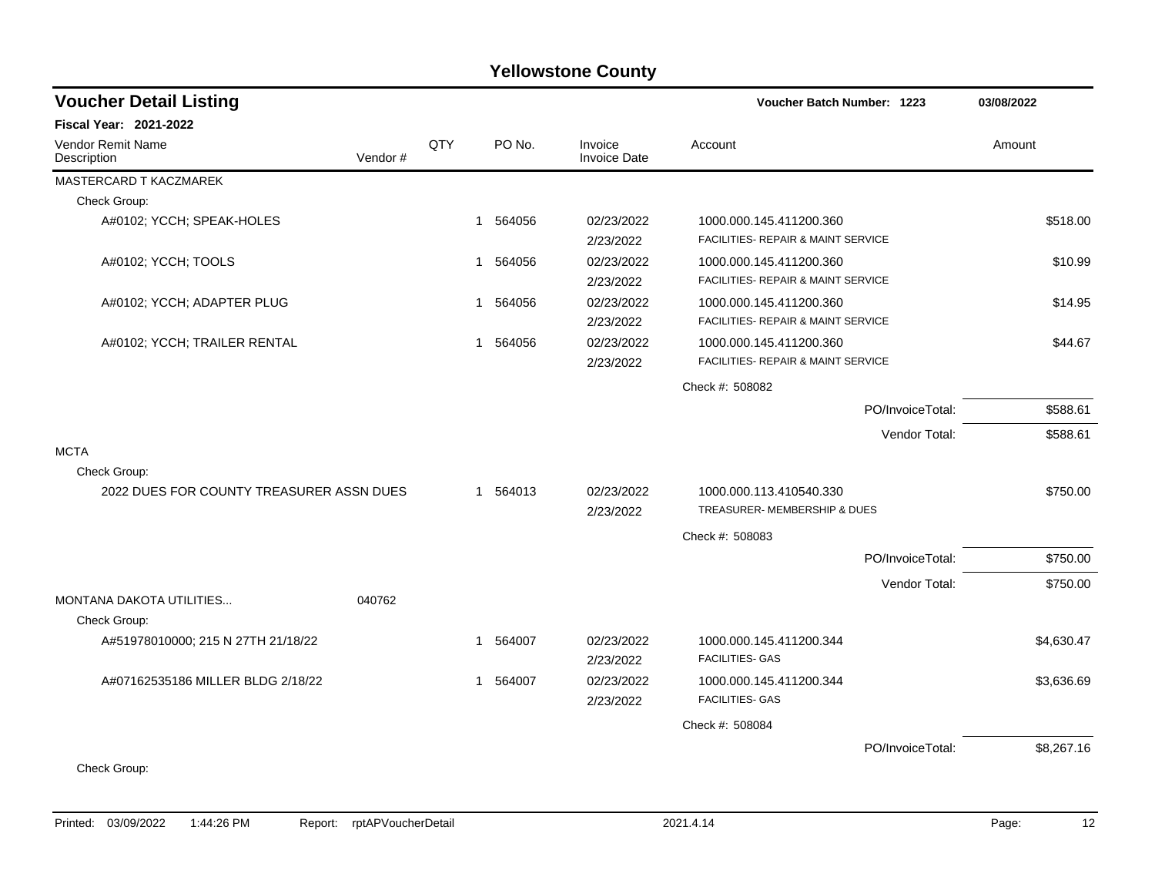| <b>Voucher Detail Listing</b>            |         |              |          |                                | Voucher Batch Number: 1223                        |                  | 03/08/2022 |
|------------------------------------------|---------|--------------|----------|--------------------------------|---------------------------------------------------|------------------|------------|
| <b>Fiscal Year: 2021-2022</b>            |         |              |          |                                |                                                   |                  |            |
| Vendor Remit Name<br>Description         | Vendor# | QTY          | PO No.   | Invoice<br><b>Invoice Date</b> | Account                                           |                  | Amount     |
| MASTERCARD T KACZMAREK                   |         |              |          |                                |                                                   |                  |            |
| Check Group:                             |         |              |          |                                |                                                   |                  |            |
| A#0102; YCCH; SPEAK-HOLES                |         | 1            | 564056   | 02/23/2022                     | 1000.000.145.411200.360                           |                  | \$518.00   |
|                                          |         |              |          | 2/23/2022                      | FACILITIES- REPAIR & MAINT SERVICE                |                  |            |
| A#0102; YCCH; TOOLS                      |         |              | 1 564056 | 02/23/2022                     | 1000.000.145.411200.360                           |                  | \$10.99    |
|                                          |         |              |          | 2/23/2022                      | FACILITIES- REPAIR & MAINT SERVICE                |                  |            |
| A#0102; YCCH; ADAPTER PLUG               |         | $\mathbf{1}$ | 564056   | 02/23/2022                     | 1000.000.145.411200.360                           |                  | \$14.95    |
|                                          |         |              |          | 2/23/2022                      | <b>FACILITIES- REPAIR &amp; MAINT SERVICE</b>     |                  |            |
| A#0102; YCCH; TRAILER RENTAL             |         | $\mathbf{1}$ | 564056   | 02/23/2022                     | 1000.000.145.411200.360                           |                  | \$44.67    |
|                                          |         |              |          | 2/23/2022                      | FACILITIES- REPAIR & MAINT SERVICE                |                  |            |
|                                          |         |              |          |                                | Check #: 508082                                   |                  |            |
|                                          |         |              |          |                                |                                                   | PO/InvoiceTotal: | \$588.61   |
|                                          |         |              |          |                                |                                                   | Vendor Total:    | \$588.61   |
| <b>MCTA</b>                              |         |              |          |                                |                                                   |                  |            |
| Check Group:                             |         |              |          |                                |                                                   |                  |            |
| 2022 DUES FOR COUNTY TREASURER ASSN DUES |         |              | 1 564013 | 02/23/2022                     | 1000.000.113.410540.330                           |                  | \$750.00   |
|                                          |         |              |          | 2/23/2022                      | TREASURER- MEMBERSHIP & DUES                      |                  |            |
|                                          |         |              |          |                                | Check #: 508083                                   |                  |            |
|                                          |         |              |          |                                |                                                   | PO/InvoiceTotal: | \$750.00   |
|                                          |         |              |          |                                |                                                   | Vendor Total:    | \$750.00   |
| MONTANA DAKOTA UTILITIES                 | 040762  |              |          |                                |                                                   |                  |            |
| Check Group:                             |         |              |          |                                |                                                   |                  |            |
| A#51978010000; 215 N 27TH 21/18/22       |         | $\mathbf{1}$ | 564007   | 02/23/2022<br>2/23/2022        | 1000.000.145.411200.344<br><b>FACILITIES- GAS</b> |                  | \$4,630.47 |
| A#07162535186 MILLER BLDG 2/18/22        |         | $\mathbf{1}$ | 564007   | 02/23/2022<br>2/23/2022        | 1000.000.145.411200.344<br><b>FACILITIES- GAS</b> |                  | \$3,636.69 |
|                                          |         |              |          |                                | Check #: 508084                                   |                  |            |
|                                          |         |              |          |                                |                                                   | PO/InvoiceTotal: | \$8,267.16 |
| Check Group:                             |         |              |          |                                |                                                   |                  |            |
|                                          |         |              |          |                                |                                                   |                  |            |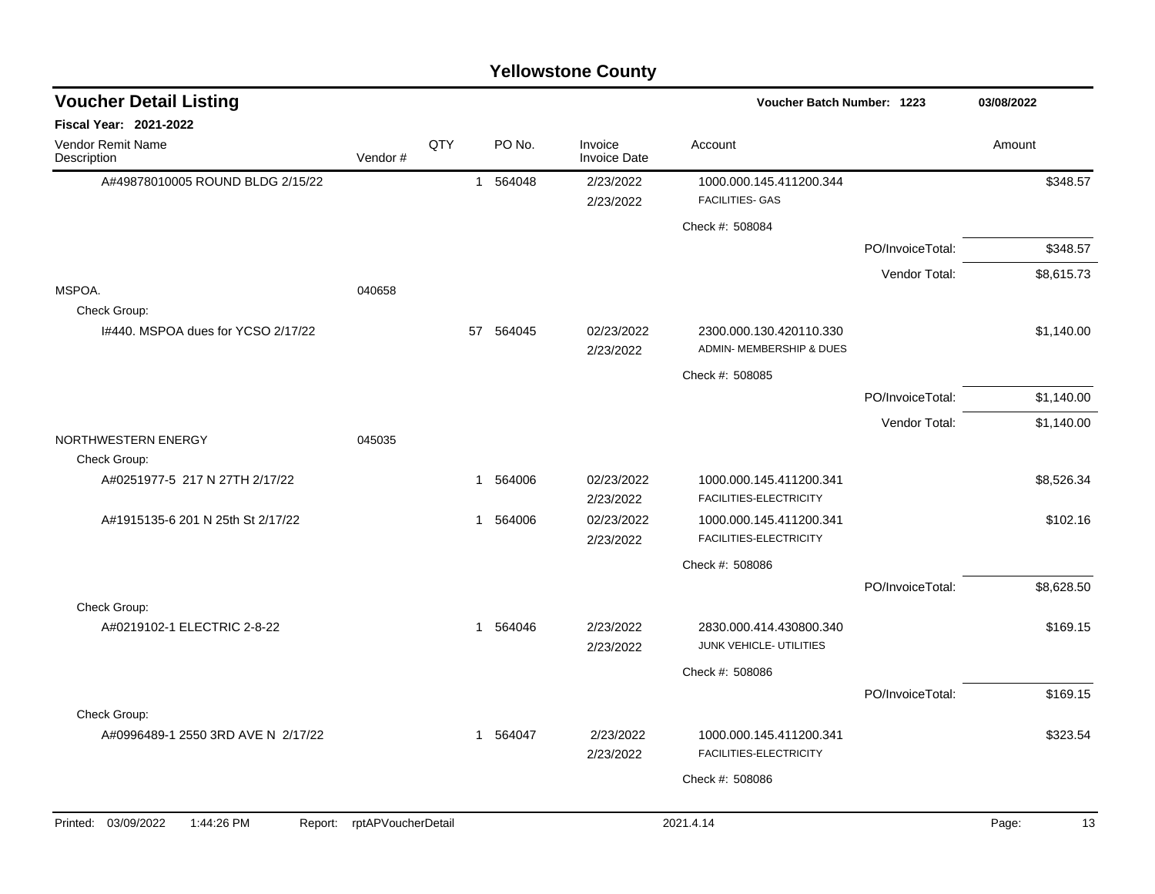| <b>Voucher Detail Listing</b>                      |                    |     |                        |                                | Voucher Batch Number: 1223                          |                  | 03/08/2022  |
|----------------------------------------------------|--------------------|-----|------------------------|--------------------------------|-----------------------------------------------------|------------------|-------------|
| <b>Fiscal Year: 2021-2022</b>                      |                    |     |                        |                                |                                                     |                  |             |
| Vendor Remit Name<br>Description                   | Vendor#            | QTY | PO No.                 | Invoice<br><b>Invoice Date</b> | Account                                             |                  | Amount      |
| A#49878010005 ROUND BLDG 2/15/22                   |                    |     | 1 564048               | 2/23/2022<br>2/23/2022         | 1000.000.145.411200.344<br><b>FACILITIES- GAS</b>   |                  | \$348.57    |
|                                                    |                    |     |                        |                                | Check #: 508084                                     |                  |             |
|                                                    |                    |     |                        |                                |                                                     | PO/InvoiceTotal: | \$348.57    |
|                                                    |                    |     |                        |                                |                                                     | Vendor Total:    | \$8,615.73  |
| MSPOA.<br>Check Group:                             | 040658             |     |                        |                                |                                                     |                  |             |
| 1#440. MSPOA dues for YCSO 2/17/22                 |                    |     | 57 564045              | 02/23/2022<br>2/23/2022        | 2300.000.130.420110.330<br>ADMIN- MEMBERSHIP & DUES |                  | \$1,140.00  |
|                                                    |                    |     |                        |                                | Check #: 508085                                     |                  |             |
|                                                    |                    |     |                        |                                |                                                     | PO/InvoiceTotal: | \$1,140.00  |
|                                                    |                    |     |                        |                                |                                                     | Vendor Total:    | \$1,140.00  |
| NORTHWESTERN ENERGY<br>Check Group:                | 045035             |     |                        |                                |                                                     |                  |             |
| A#0251977-5 217 N 27TH 2/17/22                     |                    |     | 1 564006               | 02/23/2022<br>2/23/2022        | 1000.000.145.411200.341<br>FACILITIES-ELECTRICITY   |                  | \$8,526.34  |
| A#1915135-6 201 N 25th St 2/17/22<br>Check Group:  |                    |     | 1 564006               | 02/23/2022<br>2/23/2022        | 1000.000.145.411200.341<br>FACILITIES-ELECTRICITY   |                  | \$102.16    |
|                                                    |                    |     |                        |                                | Check #: 508086                                     |                  |             |
|                                                    |                    |     |                        |                                |                                                     | PO/InvoiceTotal: | \$8,628.50  |
| A#0219102-1 ELECTRIC 2-8-22                        |                    |     | 564046<br>$\mathbf{1}$ | 2/23/2022<br>2/23/2022         | 2830.000.414.430800.340<br>JUNK VEHICLE- UTILITIES  |                  | \$169.15    |
|                                                    |                    |     |                        |                                | Check #: 508086                                     |                  |             |
|                                                    |                    |     |                        |                                |                                                     | PO/InvoiceTotal: | \$169.15    |
| Check Group:<br>A#0996489-1 2550 3RD AVE N 2/17/22 |                    |     | 564047<br>$\mathbf{1}$ | 2/23/2022<br>2/23/2022         | 1000.000.145.411200.341<br>FACILITIES-ELECTRICITY   |                  | \$323.54    |
|                                                    |                    |     |                        |                                | Check #: 508086                                     |                  |             |
|                                                    |                    |     |                        |                                |                                                     |                  |             |
| Printed: 03/09/2022<br>1:44:26 PM<br>Report:       | rptAPVoucherDetail |     |                        |                                | 2021.4.14                                           |                  | Page:<br>13 |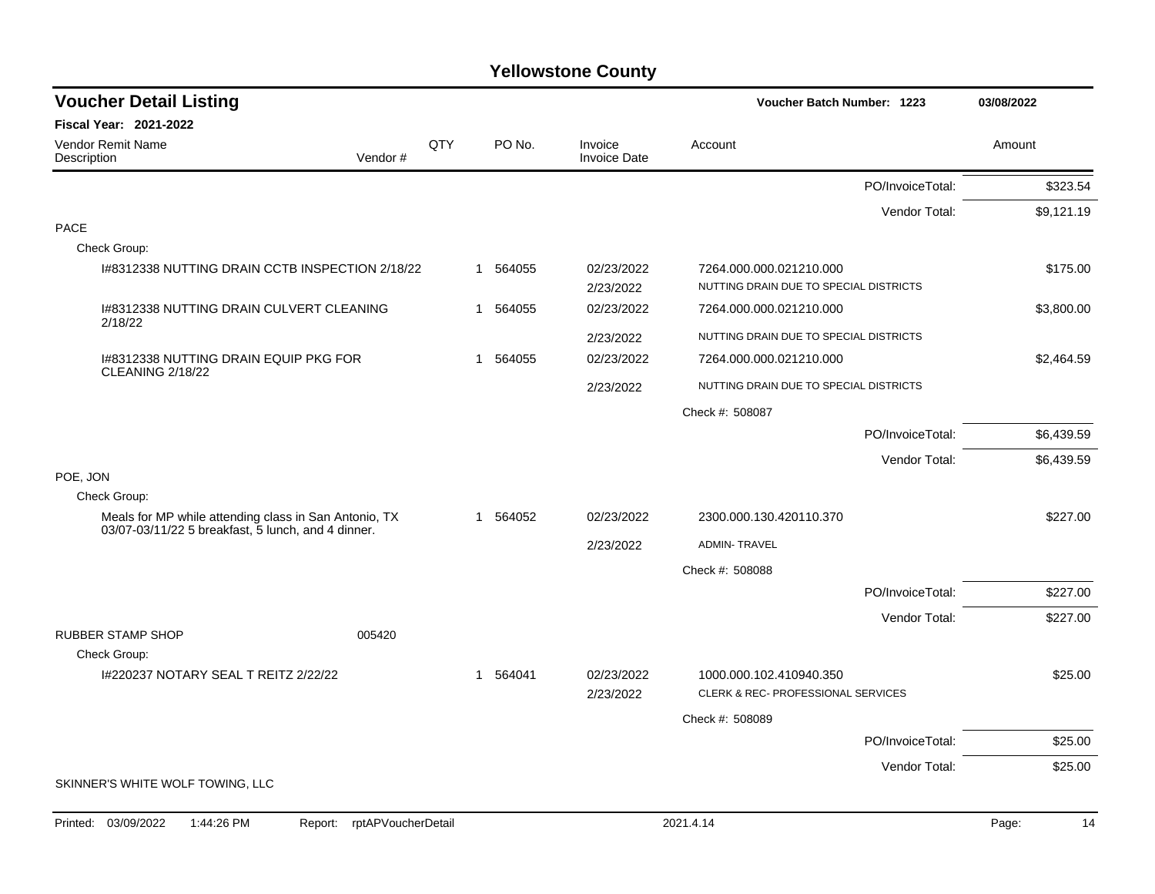| <b>Voucher Detail Listing</b>                                                                               |                    |     |          |                                | Voucher Batch Number: 1223                                    |                  | 03/08/2022  |
|-------------------------------------------------------------------------------------------------------------|--------------------|-----|----------|--------------------------------|---------------------------------------------------------------|------------------|-------------|
| <b>Fiscal Year: 2021-2022</b>                                                                               |                    |     |          |                                |                                                               |                  |             |
| Vendor Remit Name<br>Description                                                                            | Vendor#            | QTY | PO No.   | Invoice<br><b>Invoice Date</b> | Account                                                       |                  | Amount      |
|                                                                                                             |                    |     |          |                                |                                                               | PO/InvoiceTotal: | \$323.54    |
|                                                                                                             |                    |     |          |                                |                                                               | Vendor Total:    | \$9,121.19  |
| <b>PACE</b>                                                                                                 |                    |     |          |                                |                                                               |                  |             |
| Check Group:                                                                                                |                    |     |          |                                |                                                               |                  |             |
| 1#8312338 NUTTING DRAIN CCTB INSPECTION 2/18/22                                                             |                    |     | 1 564055 | 02/23/2022                     | 7264.000.000.021210.000                                       |                  | \$175.00    |
|                                                                                                             |                    |     |          | 2/23/2022                      | NUTTING DRAIN DUE TO SPECIAL DISTRICTS                        |                  |             |
| 1#8312338 NUTTING DRAIN CULVERT CLEANING<br>2/18/22                                                         |                    |     | 1 564055 | 02/23/2022                     | 7264.000.000.021210.000                                       |                  | \$3,800.00  |
|                                                                                                             |                    |     |          | 2/23/2022                      | NUTTING DRAIN DUE TO SPECIAL DISTRICTS                        |                  |             |
| 1#8312338 NUTTING DRAIN EQUIP PKG FOR<br>CLEANING 2/18/22                                                   |                    |     | 1 564055 | 02/23/2022                     | 7264.000.000.021210.000                                       |                  | \$2,464.59  |
|                                                                                                             |                    |     |          | 2/23/2022                      | NUTTING DRAIN DUE TO SPECIAL DISTRICTS                        |                  |             |
|                                                                                                             |                    |     |          |                                | Check #: 508087                                               |                  |             |
|                                                                                                             |                    |     |          |                                |                                                               | PO/InvoiceTotal: | \$6,439.59  |
|                                                                                                             |                    |     |          |                                |                                                               | Vendor Total:    | \$6,439.59  |
| POE, JON                                                                                                    |                    |     |          |                                |                                                               |                  |             |
| Check Group:                                                                                                |                    |     |          |                                |                                                               |                  |             |
| Meals for MP while attending class in San Antonio, TX<br>03/07-03/11/22 5 breakfast, 5 lunch, and 4 dinner. |                    |     | 1 564052 | 02/23/2022                     | 2300.000.130.420110.370                                       |                  | \$227.00    |
|                                                                                                             |                    |     |          | 2/23/2022                      | <b>ADMIN-TRAVEL</b>                                           |                  |             |
|                                                                                                             |                    |     |          |                                | Check #: 508088                                               |                  |             |
|                                                                                                             |                    |     |          |                                |                                                               | PO/InvoiceTotal: | \$227.00    |
|                                                                                                             |                    |     |          |                                |                                                               | Vendor Total:    | \$227.00    |
| <b>RUBBER STAMP SHOP</b>                                                                                    | 005420             |     |          |                                |                                                               |                  |             |
| Check Group:                                                                                                |                    |     |          |                                |                                                               |                  |             |
| I#220237 NOTARY SEAL T REITZ 2/22/22                                                                        |                    |     | 1 564041 | 02/23/2022<br>2/23/2022        | 1000.000.102.410940.350<br>CLERK & REC- PROFESSIONAL SERVICES |                  | \$25.00     |
|                                                                                                             |                    |     |          |                                | Check #: 508089                                               |                  |             |
|                                                                                                             |                    |     |          |                                |                                                               | PO/InvoiceTotal: | \$25.00     |
|                                                                                                             |                    |     |          |                                |                                                               | Vendor Total:    | \$25.00     |
| SKINNER'S WHITE WOLF TOWING, LLC                                                                            |                    |     |          |                                |                                                               |                  |             |
| Printed: 03/09/2022<br>1:44:26 PM<br>Report:                                                                | rptAPVoucherDetail |     |          |                                | 2021.4.14                                                     |                  | 14<br>Page: |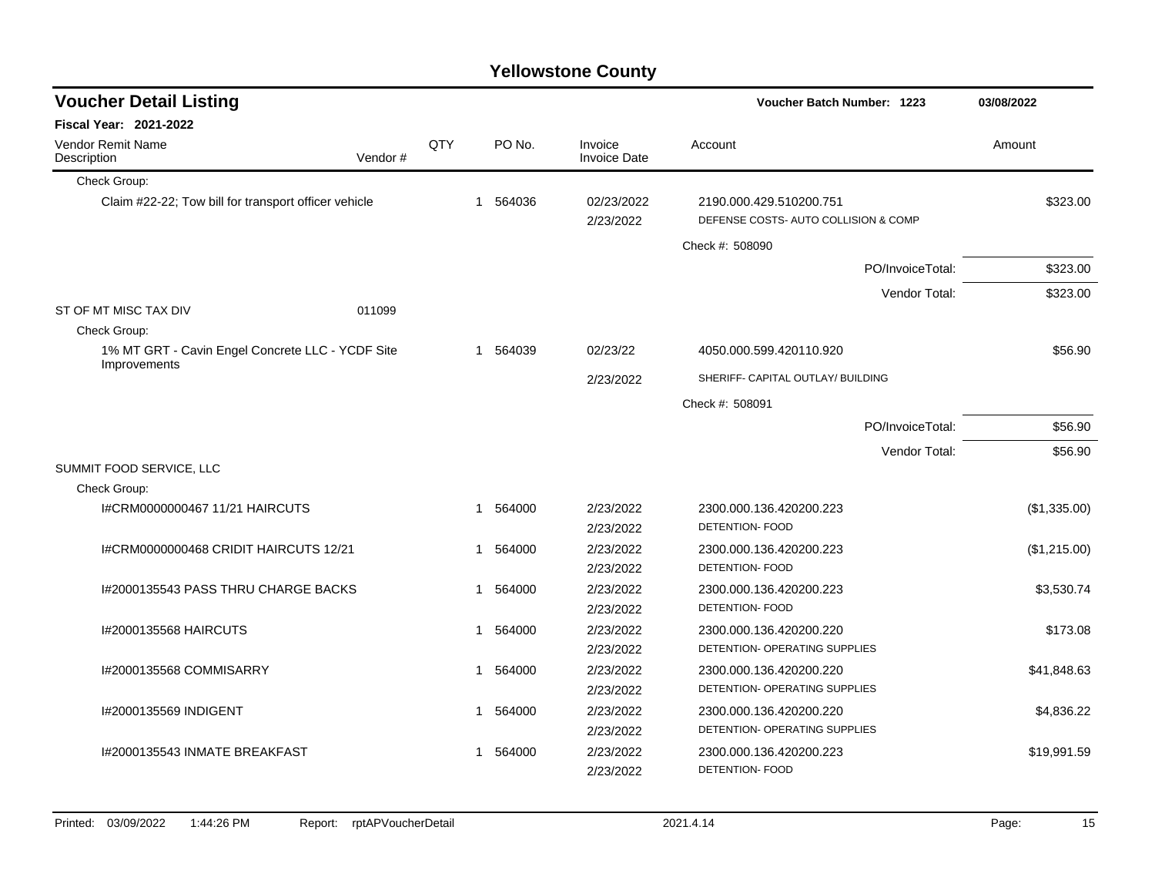| <b>Voucher Detail Listing</b>                                    |         |     |                        |                                | <b>Voucher Batch Number: 1223</b>                               | 03/08/2022   |
|------------------------------------------------------------------|---------|-----|------------------------|--------------------------------|-----------------------------------------------------------------|--------------|
| <b>Fiscal Year: 2021-2022</b>                                    |         |     |                        |                                |                                                                 |              |
| <b>Vendor Remit Name</b><br>Description                          | Vendor# | QTY | PO No.                 | Invoice<br><b>Invoice Date</b> | Account                                                         | Amount       |
| Check Group:                                                     |         |     |                        |                                |                                                                 |              |
| Claim #22-22; Tow bill for transport officer vehicle             |         |     | 564036<br>$\mathbf{1}$ | 02/23/2022<br>2/23/2022        | 2190.000.429.510200.751<br>DEFENSE COSTS- AUTO COLLISION & COMP | \$323.00     |
|                                                                  |         |     |                        |                                | Check #: 508090                                                 |              |
|                                                                  |         |     |                        |                                | PO/InvoiceTotal:                                                | \$323.00     |
|                                                                  |         |     |                        |                                | Vendor Total:                                                   | \$323.00     |
| ST OF MT MISC TAX DIV                                            | 011099  |     |                        |                                |                                                                 |              |
| Check Group:                                                     |         |     |                        |                                |                                                                 |              |
| 1% MT GRT - Cavin Engel Concrete LLC - YCDF Site<br>Improvements |         |     | 564039<br>$\mathbf 1$  | 02/23/22                       | 4050.000.599.420110.920                                         | \$56.90      |
|                                                                  |         |     |                        | 2/23/2022                      | SHERIFF- CAPITAL OUTLAY/ BUILDING                               |              |
|                                                                  |         |     |                        |                                | Check #: 508091                                                 |              |
|                                                                  |         |     |                        |                                | PO/InvoiceTotal:                                                | \$56.90      |
|                                                                  |         |     |                        |                                | Vendor Total:                                                   | \$56.90      |
| SUMMIT FOOD SERVICE, LLC                                         |         |     |                        |                                |                                                                 |              |
| Check Group:                                                     |         |     |                        |                                |                                                                 |              |
| I#CRM0000000467 11/21 HAIRCUTS                                   |         |     | 564000<br>1            | 2/23/2022                      | 2300.000.136.420200.223                                         | (\$1,335.00) |
|                                                                  |         |     |                        | 2/23/2022                      | DETENTION- FOOD                                                 |              |
| I#CRM0000000468 CRIDIT HAIRCUTS 12/21                            |         |     | 564000<br>1            | 2/23/2022                      | 2300.000.136.420200.223                                         | (\$1,215.00) |
|                                                                  |         |     |                        | 2/23/2022                      | DETENTION- FOOD                                                 |              |
| 1#2000135543 PASS THRU CHARGE BACKS                              |         |     | 564000<br>1            | 2/23/2022                      | 2300.000.136.420200.223                                         | \$3,530.74   |
|                                                                  |         |     |                        | 2/23/2022                      | DETENTION- FOOD                                                 |              |
| I#2000135568 HAIRCUTS                                            |         |     | 564000<br>1            | 2/23/2022                      | 2300.000.136.420200.220                                         | \$173.08     |
|                                                                  |         |     |                        | 2/23/2022                      | DETENTION- OPERATING SUPPLIES                                   |              |
| I#2000135568 COMMISARRY                                          |         |     | 564000<br>1            | 2/23/2022                      | 2300.000.136.420200.220                                         | \$41,848.63  |
|                                                                  |         |     |                        | 2/23/2022                      | DETENTION- OPERATING SUPPLIES                                   |              |
| I#2000135569 INDIGENT                                            |         | 1   | 564000                 | 2/23/2022                      | 2300.000.136.420200.220                                         | \$4,836.22   |
|                                                                  |         |     |                        | 2/23/2022                      | DETENTION- OPERATING SUPPLIES                                   |              |
| I#2000135543 INMATE BREAKFAST                                    |         |     | 1 564000               | 2/23/2022                      | 2300.000.136.420200.223                                         | \$19,991.59  |
|                                                                  |         |     |                        | 2/23/2022                      | DETENTION- FOOD                                                 |              |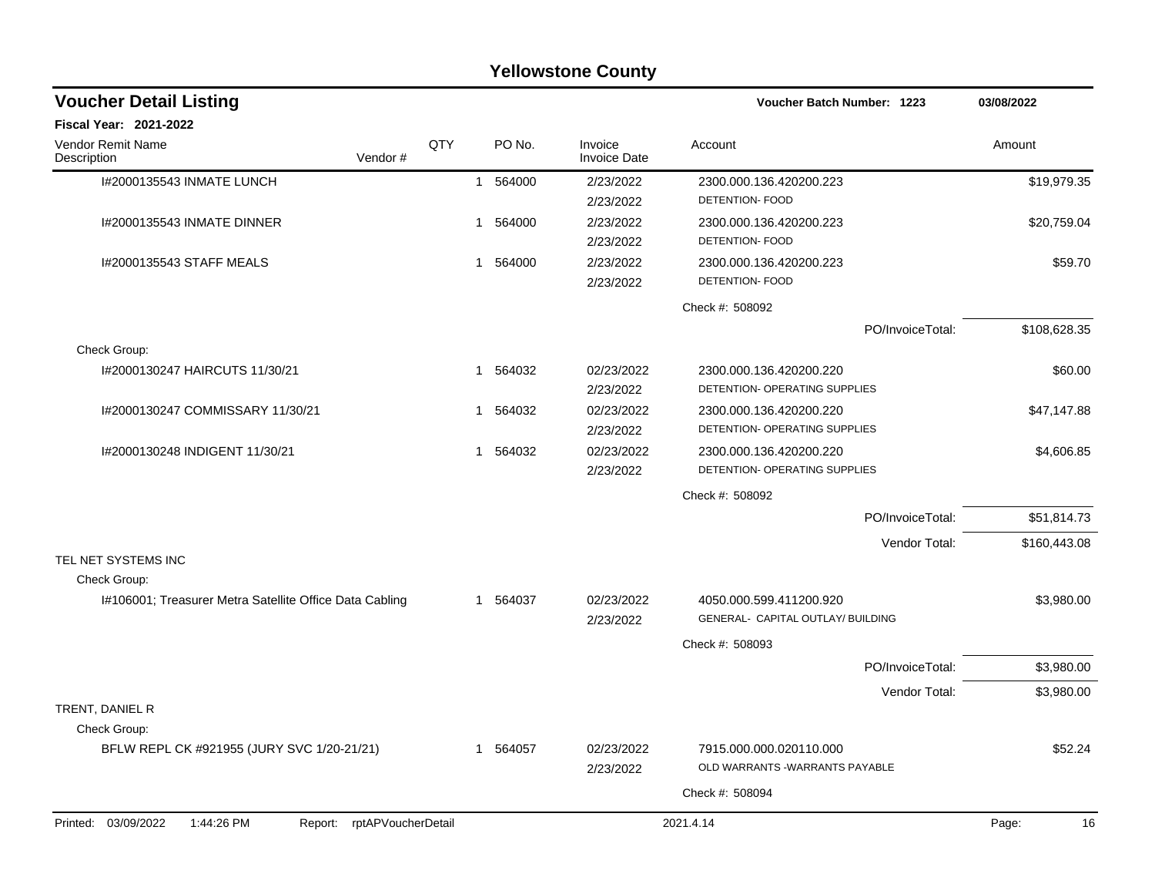| <b>Yellowstone County</b>                                          |     |                        |                                |                                                              |              |  |  |  |  |
|--------------------------------------------------------------------|-----|------------------------|--------------------------------|--------------------------------------------------------------|--------------|--|--|--|--|
| <b>Voucher Detail Listing</b>                                      |     |                        |                                | <b>Voucher Batch Number: 1223</b>                            | 03/08/2022   |  |  |  |  |
| Fiscal Year: 2021-2022                                             |     |                        |                                |                                                              |              |  |  |  |  |
| Vendor Remit Name<br>Vendor#<br>Description                        | QTY | PO No.                 | Invoice<br><b>Invoice Date</b> | Account                                                      | Amount       |  |  |  |  |
| I#2000135543 INMATE LUNCH                                          |     | 564000<br>$\mathbf{1}$ | 2/23/2022<br>2/23/2022         | 2300.000.136.420200.223<br>DETENTION- FOOD                   | \$19,979.35  |  |  |  |  |
| I#2000135543 INMATE DINNER                                         |     | 564000<br>1            | 2/23/2022<br>2/23/2022         | 2300.000.136.420200.223<br><b>DETENTION- FOOD</b>            | \$20,759.04  |  |  |  |  |
| I#2000135543 STAFF MEALS                                           |     | 1 564000               | 2/23/2022<br>2/23/2022         | 2300.000.136.420200.223<br><b>DETENTION- FOOD</b>            | \$59.70      |  |  |  |  |
|                                                                    |     |                        |                                | Check #: 508092                                              |              |  |  |  |  |
| Check Group:                                                       |     |                        |                                | PO/InvoiceTotal:                                             | \$108,628.35 |  |  |  |  |
| 1#2000130247 HAIRCUTS 11/30/21                                     |     | 564032<br>1            | 02/23/2022<br>2/23/2022        | 2300.000.136.420200.220<br>DETENTION- OPERATING SUPPLIES     | \$60.00      |  |  |  |  |
| I#2000130247 COMMISSARY 11/30/21                                   |     | 564032<br>-1           | 02/23/2022<br>2/23/2022        | 2300.000.136.420200.220<br>DETENTION- OPERATING SUPPLIES     | \$47,147.88  |  |  |  |  |
| I#2000130248 INDIGENT 11/30/21                                     |     | 564032<br>1            | 02/23/2022<br>2/23/2022        | 2300.000.136.420200.220<br>DETENTION- OPERATING SUPPLIES     | \$4,606.85   |  |  |  |  |
|                                                                    |     |                        |                                | Check #: 508092                                              |              |  |  |  |  |
|                                                                    |     |                        |                                | PO/InvoiceTotal:                                             | \$51,814.73  |  |  |  |  |
| TEL NET SYSTEMS INC                                                |     |                        |                                | Vendor Total:                                                | \$160,443.08 |  |  |  |  |
| Check Group:                                                       |     |                        |                                |                                                              |              |  |  |  |  |
| I#106001; Treasurer Metra Satellite Office Data Cabling            |     | 1 564037               | 02/23/2022<br>2/23/2022        | 4050.000.599.411200.920<br>GENERAL- CAPITAL OUTLAY/ BUILDING | \$3,980.00   |  |  |  |  |
|                                                                    |     |                        |                                | Check #: 508093                                              |              |  |  |  |  |
|                                                                    |     |                        |                                | PO/InvoiceTotal:                                             | \$3,980.00   |  |  |  |  |
|                                                                    |     |                        |                                | Vendor Total:                                                | \$3,980.00   |  |  |  |  |
| TRENT, DANIEL R                                                    |     |                        |                                |                                                              |              |  |  |  |  |
| Check Group:                                                       |     |                        |                                |                                                              |              |  |  |  |  |
| BFLW REPL CK #921955 (JURY SVC 1/20-21/21)                         |     | 1 564057               | 02/23/2022<br>2/23/2022        | 7915.000.000.020110.000<br>OLD WARRANTS - WARRANTS PAYABLE   | \$52.24      |  |  |  |  |
|                                                                    |     |                        |                                | Check #: 508094                                              |              |  |  |  |  |
| 1:44:26 PM<br>rptAPVoucherDetail<br>Printed: 03/09/2022<br>Report: |     |                        |                                | 2021.4.14                                                    | Page:<br>16  |  |  |  |  |